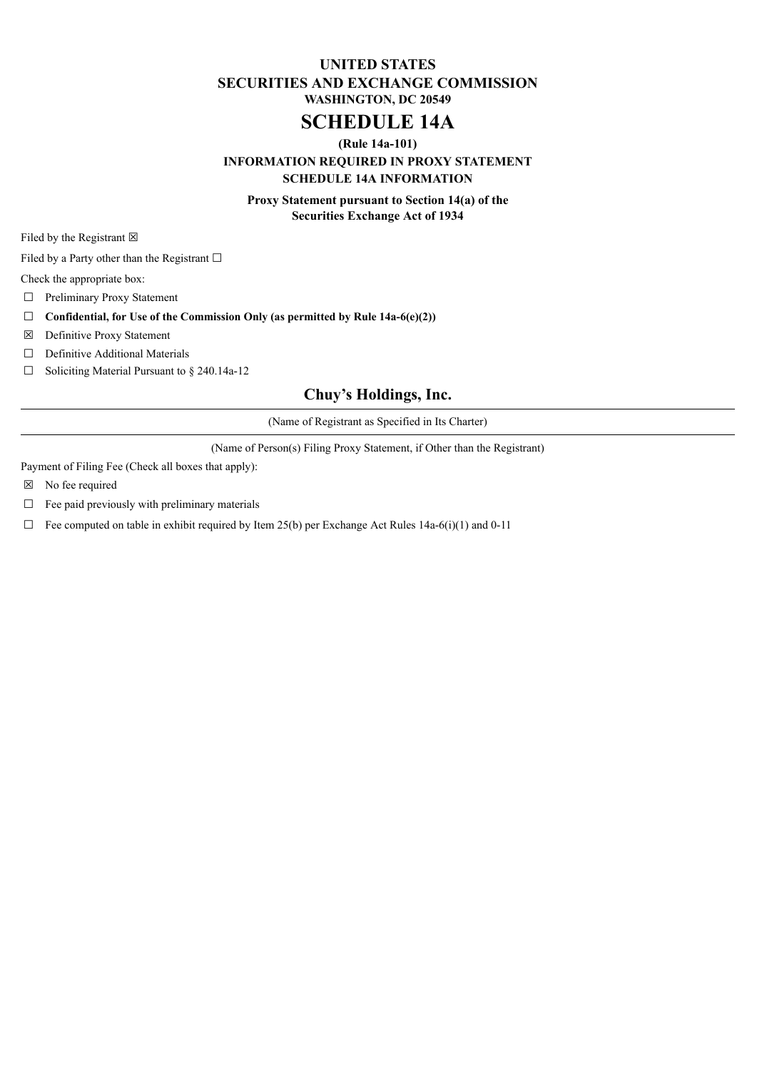# **UNITED STATES SECURITIES AND EXCHANGE COMMISSION WASHINGTON, DC 20549**

# **SCHEDULE 14A**

## **(Rule 14a-101) INFORMATION REQUIRED IN PROXY STATEMENT SCHEDULE 14A INFORMATION**

**Proxy Statement pursuant to Section 14(a) of the Securities Exchange Act of 1934**

Filed by the Registrant  $\boxtimes$ 

Filed by a Party other than the Registrant  $\Box$ 

Check the appropriate box:

☐ Preliminary Proxy Statement

☐ **Confidential, for Use of the Commission Only (as permitted by Rule 14a-6(e)(2))**

☒ Definitive Proxy Statement

☐ Definitive Additional Materials

☐ Soliciting Material Pursuant to § 240.14a-12

# **Chuy's Holdings, Inc.**

(Name of Registrant as Specified in Its Charter)

(Name of Person(s) Filing Proxy Statement, if Other than the Registrant)

Payment of Filing Fee (Check all boxes that apply):

☒ No fee required

 $\Box$  Fee paid previously with preliminary materials

 $\Box$  Fee computed on table in exhibit required by Item 25(b) per Exchange Act Rules 14a-6(i)(1) and 0-11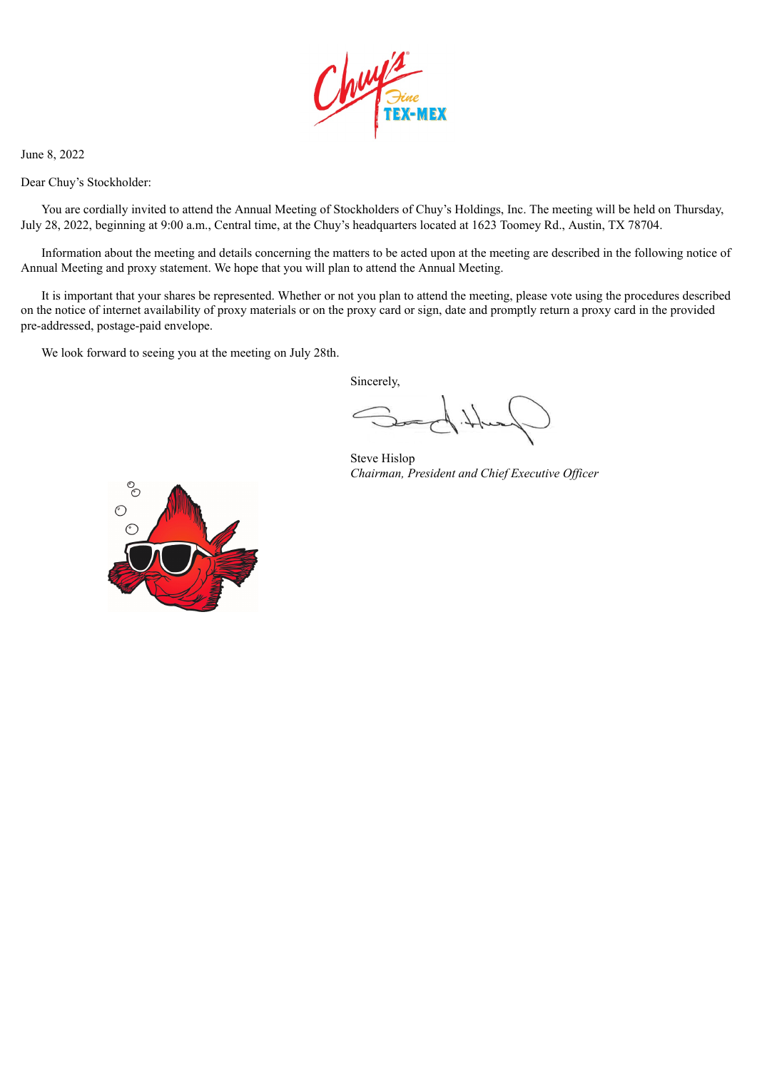

June 8, 2022

Dear Chuy's Stockholder:

You are cordially invited to attend the Annual Meeting of Stockholders of Chuy's Holdings, Inc. The meeting will be held on Thursday, July 28, 2022, beginning at 9:00 a.m., Central time, at the Chuy's headquarters located at 1623 Toomey Rd., Austin, TX 78704.

Information about the meeting and details concerning the matters to be acted upon at the meeting are described in the following notice of Annual Meeting and proxy statement. We hope that you will plan to attend the Annual Meeting.

It is important that your shares be represented. Whether or not you plan to attend the meeting, please vote using the procedures described on the notice of internet availability of proxy materials or on the proxy card or sign, date and promptly return a proxy card in the provided pre-addressed, postage-paid envelope.

We look forward to seeing you at the meeting on July 28th.

Sincerely,

Steve Hislop *Chairman, President and Chief Executive Of icer*

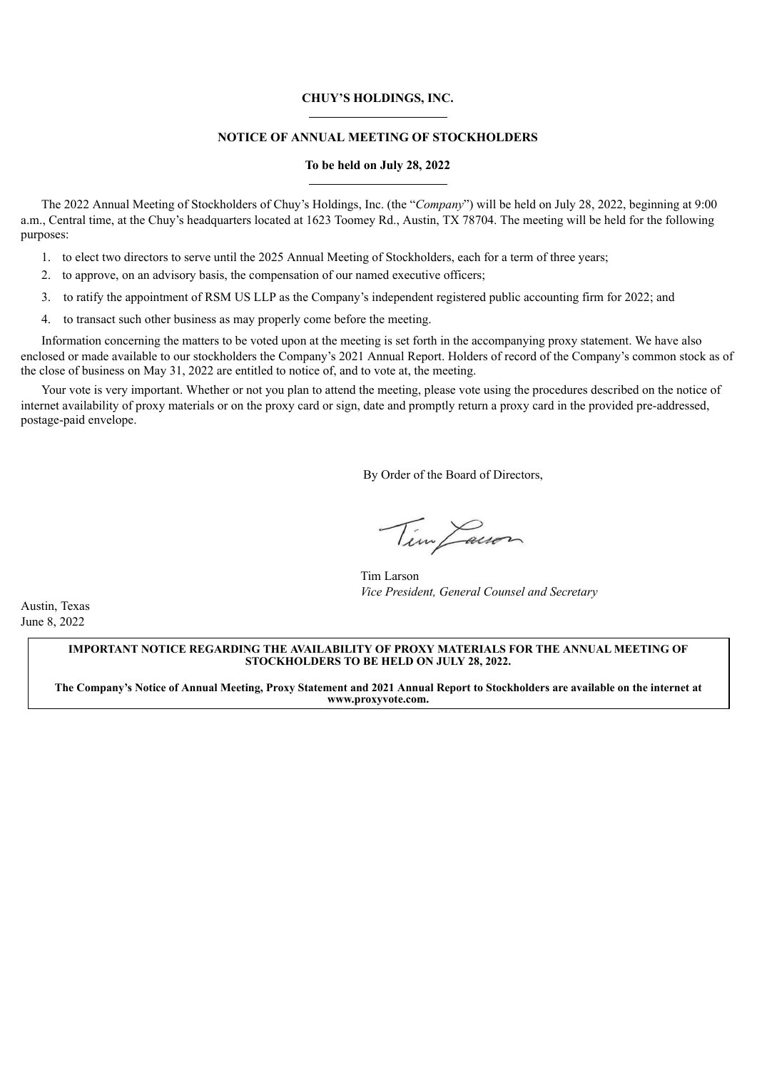#### **CHUY'S HOLDINGS, INC.**

## **NOTICE OF ANNUAL MEETING OF STOCKHOLDERS**

## **To be held on July 28, 2022**

The 2022 Annual Meeting of Stockholders of Chuy's Holdings, Inc. (the "*Company*") will be held on July 28, 2022, beginning at 9:00 a.m., Central time, at the Chuy's headquarters located at 1623 Toomey Rd., Austin, TX 78704. The meeting will be held for the following purposes:

- 1. to elect two directors to serve until the 2025 Annual Meeting of Stockholders, each for a term of three years;
- 2. to approve, on an advisory basis, the compensation of our named executive officers;
- 3. to ratify the appointment of RSM US LLP as the Company's independent registered public accounting firm for 2022; and
- 4. to transact such other business as may properly come before the meeting.

Information concerning the matters to be voted upon at the meeting is set forth in the accompanying proxy statement. We have also enclosed or made available to our stockholders the Company's 2021 Annual Report. Holders of record of the Company's common stock as of the close of business on May 31, 2022 are entitled to notice of, and to vote at, the meeting.

Your vote is very important. Whether or not you plan to attend the meeting, please vote using the procedures described on the notice of internet availability of proxy materials or on the proxy card or sign, date and promptly return a proxy card in the provided pre-addressed, postage-paid envelope.

By Order of the Board of Directors,

Tim Lavon

Tim Larson *Vice President, General Counsel and Secretary*

Austin, Texas June 8, 2022

#### **IMPORTANT NOTICE REGARDING THE AVAILABILITY OF PROXY MATERIALS FOR THE ANNUAL MEETING OF STOCKHOLDERS TO BE HELD ON JULY 28, 2022.**

The Company's Notice of Annual Meeting, Proxy Statement and 2021 Annual Report to Stockholders are available on the internet at **www.proxyvote.com.**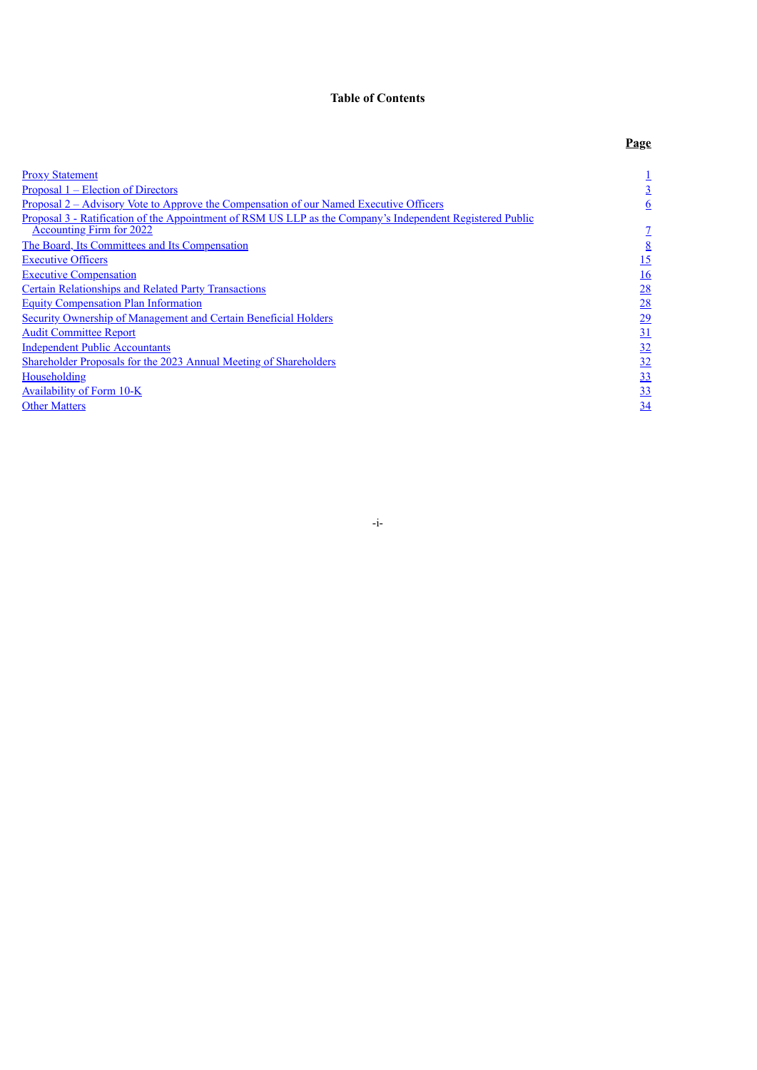## **Table of Contents**

|                                                                                                                                              | Page            |
|----------------------------------------------------------------------------------------------------------------------------------------------|-----------------|
| <b>Proxy Statement</b>                                                                                                                       |                 |
| Proposal 1 – Election of Directors                                                                                                           | $\overline{3}$  |
| <u><b>Proposal 2 – Advisory Vote to Approve the Compensation of our Named Executive Officers</b></u>                                         | $6\overline{6}$ |
| Proposal 3 - Ratification of the Appointment of RSM US LLP as the Company's Independent Registered Public<br><b>Accounting Firm for 2022</b> | $\overline{1}$  |
| The Board, Its Committees and Its Compensation                                                                                               | $\underline{8}$ |
| <b>Executive Officers</b>                                                                                                                    | 15              |
| <b>Executive Compensation</b>                                                                                                                | 16              |
| <b>Certain Relationships and Related Party Transactions</b>                                                                                  | 28              |
| <b>Equity Compensation Plan Information</b>                                                                                                  | 28              |
| <b>Security Ownership of Management and Certain Beneficial Holders</b>                                                                       | 29              |
| <b>Audit Committee Report</b>                                                                                                                | 31              |
| <b>Independent Public Accountants</b>                                                                                                        | 32              |
| Shareholder Proposals for the 2023 Annual Meeting of Shareholders                                                                            | 32              |
| Householding                                                                                                                                 | <u>33</u>       |
| Availability of Form 10-K                                                                                                                    | 33              |
| <b>Other Matters</b>                                                                                                                         | 34              |

## <span id="page-3-0"></span>-i-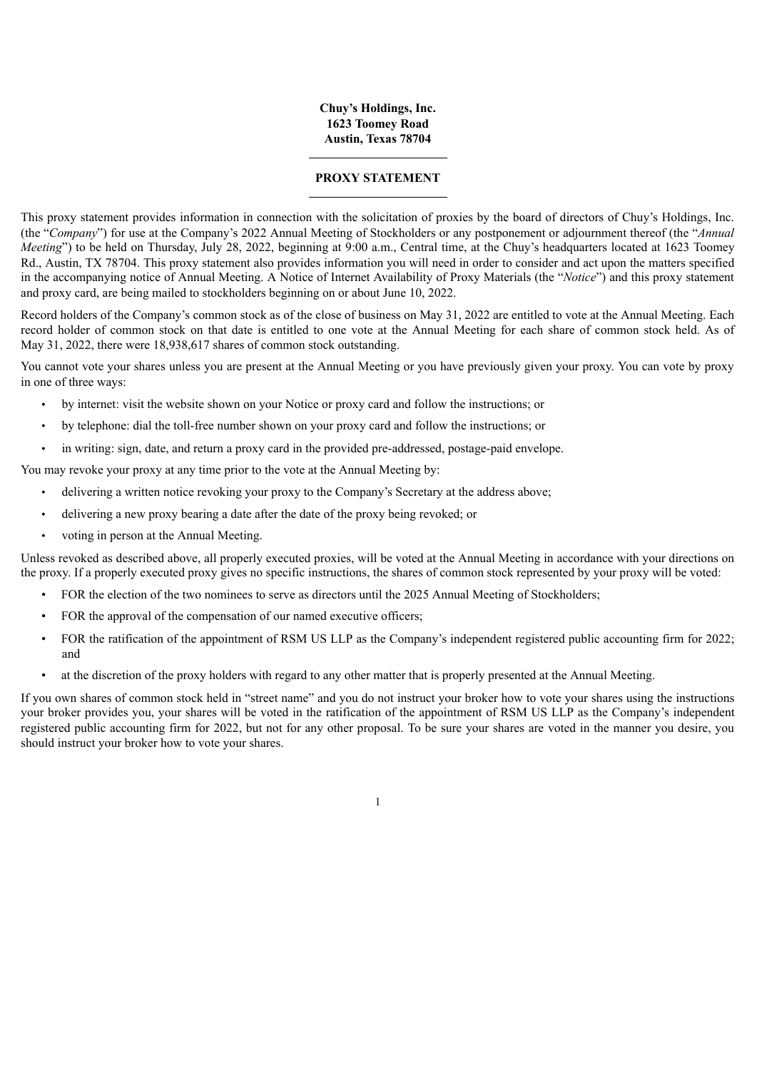## **Chuy's Holdings, Inc. 1623 Toomey Road Austin, Texas 78704**

#### **PROXY STATEMENT**

This proxy statement provides information in connection with the solicitation of proxies by the board of directors of Chuy's Holdings, Inc. (the "*Company*") for use at the Company's 2022 Annual Meeting of Stockholders or any postponement or adjournment thereof (the "*Annual Meeting*") to be held on Thursday, July 28, 2022, beginning at 9:00 a.m., Central time, at the Chuy's headquarters located at 1623 Toomey Rd., Austin, TX 78704. This proxy statement also provides information you will need in order to consider and act upon the matters specified in the accompanying notice of Annual Meeting. A Notice of Internet Availability of Proxy Materials (the "*Notice*") and this proxy statement and proxy card, are being mailed to stockholders beginning on or about June 10, 2022.

Record holders of the Company's common stock as of the close of business on May 31, 2022 are entitled to vote at the Annual Meeting. Each record holder of common stock on that date is entitled to one vote at the Annual Meeting for each share of common stock held. As of May 31, 2022, there were 18,938,617 shares of common stock outstanding.

You cannot vote your shares unless you are present at the Annual Meeting or you have previously given your proxy. You can vote by proxy in one of three ways:

- by internet: visit the website shown on your Notice or proxy card and follow the instructions; or
- by telephone: dial the toll-free number shown on your proxy card and follow the instructions; or
- in writing: sign, date, and return a proxy card in the provided pre-addressed, postage-paid envelope.

You may revoke your proxy at any time prior to the vote at the Annual Meeting by:

- delivering a written notice revoking your proxy to the Company's Secretary at the address above;
- delivering a new proxy bearing a date after the date of the proxy being revoked; or
- voting in person at the Annual Meeting.

Unless revoked as described above, all properly executed proxies, will be voted at the Annual Meeting in accordance with your directions on the proxy. If a properly executed proxy gives no specific instructions, the shares of common stock represented by your proxy will be voted:

- FOR the election of the two nominees to serve as directors until the 2025 Annual Meeting of Stockholders;
- FOR the approval of the compensation of our named executive officers;
- FOR the ratification of the appointment of RSM US LLP as the Company's independent registered public accounting firm for 2022; and
- at the discretion of the proxy holders with regard to any other matter that is properly presented at the Annual Meeting.

If you own shares of common stock held in "street name" and you do not instruct your broker how to vote your shares using the instructions your broker provides you, your shares will be voted in the ratification of the appointment of RSM US LLP as the Company's independent registered public accounting firm for 2022, but not for any other proposal. To be sure your shares are voted in the manner you desire, you should instruct your broker how to vote your shares.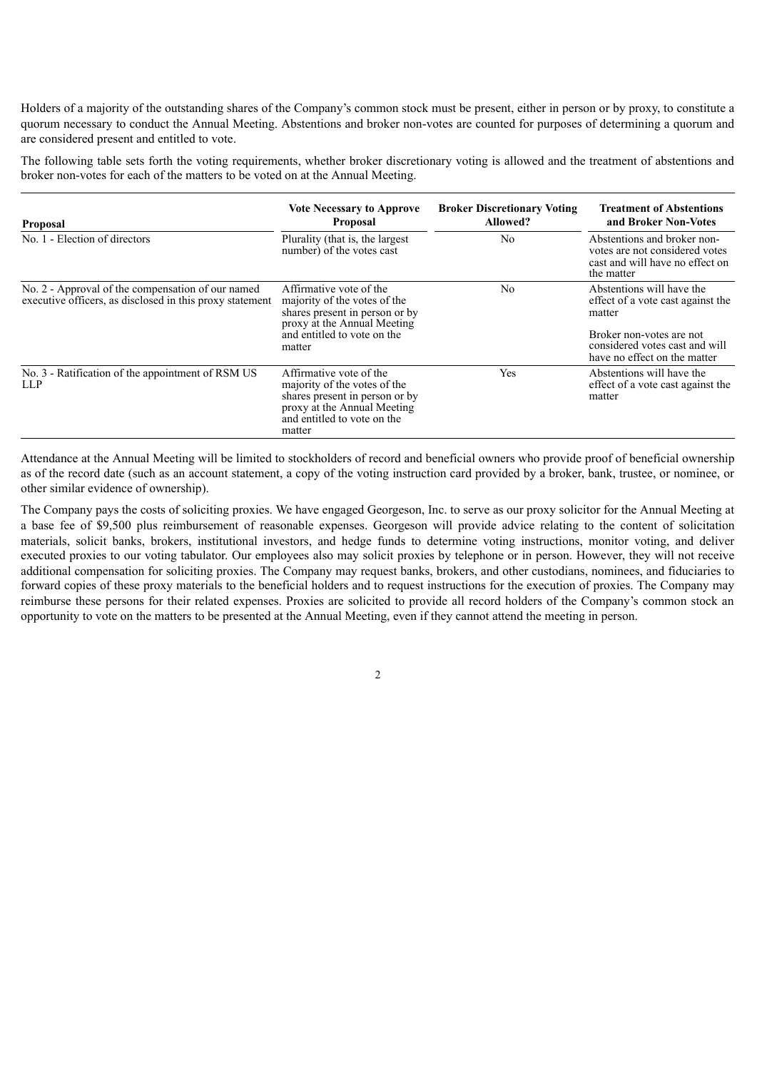Holders of a majority of the outstanding shares of the Company's common stock must be present, either in person or by proxy, to constitute a quorum necessary to conduct the Annual Meeting. Abstentions and broker non-votes are counted for purposes of determining a quorum and are considered present and entitled to vote.

The following table sets forth the voting requirements, whether broker discretionary voting is allowed and the treatment of abstentions and broker non-votes for each of the matters to be voted on at the Annual Meeting.

| <b>Proposal</b>                                                                                               | <b>Vote Necessary to Approve</b><br><b>Proposal</b>                                                                                                               | <b>Broker Discretionary Voting</b><br>Allowed? | <b>Treatment of Abstentions</b><br>and Broker Non-Votes                                                                                                                |
|---------------------------------------------------------------------------------------------------------------|-------------------------------------------------------------------------------------------------------------------------------------------------------------------|------------------------------------------------|------------------------------------------------------------------------------------------------------------------------------------------------------------------------|
| No. 1 - Election of directors                                                                                 | Plurality (that is, the largest<br>number) of the votes cast                                                                                                      | N <sub>0</sub>                                 | Abstentions and broker non-<br>votes are not considered votes<br>cast and will have no effect on<br>the matter                                                         |
| No. 2 - Approval of the compensation of our named<br>executive officers, as disclosed in this proxy statement | Affirmative vote of the<br>majority of the votes of the<br>shares present in person or by<br>proxy at the Annual Meeting<br>and entitled to vote on the<br>matter | No                                             | Abstentions will have the<br>effect of a vote cast against the<br>matter<br>Broker non-votes are not<br>considered votes cast and will<br>have no effect on the matter |
| No. 3 - Ratification of the appointment of RSM US<br><b>LLP</b>                                               | Affirmative vote of the<br>majority of the votes of the<br>shares present in person or by<br>proxy at the Annual Meeting<br>and entitled to vote on the<br>matter | Yes                                            | Abstentions will have the<br>effect of a vote cast against the<br>matter                                                                                               |

Attendance at the Annual Meeting will be limited to stockholders of record and beneficial owners who provide proof of beneficial ownership as of the record date (such as an account statement, a copy of the voting instruction card provided by a broker, bank, trustee, or nominee, or other similar evidence of ownership).

<span id="page-5-0"></span>The Company pays the costs of soliciting proxies. We have engaged Georgeson, Inc. to serve as our proxy solicitor for the Annual Meeting at a base fee of \$9,500 plus reimbursement of reasonable expenses. Georgeson will provide advice relating to the content of solicitation materials, solicit banks, brokers, institutional investors, and hedge funds to determine voting instructions, monitor voting, and deliver executed proxies to our voting tabulator. Our employees also may solicit proxies by telephone or in person. However, they will not receive additional compensation for soliciting proxies. The Company may request banks, brokers, and other custodians, nominees, and fiduciaries to forward copies of these proxy materials to the beneficial holders and to request instructions for the execution of proxies. The Company may reimburse these persons for their related expenses. Proxies are solicited to provide all record holders of the Company's common stock an opportunity to vote on the matters to be presented at the Annual Meeting, even if they cannot attend the meeting in person.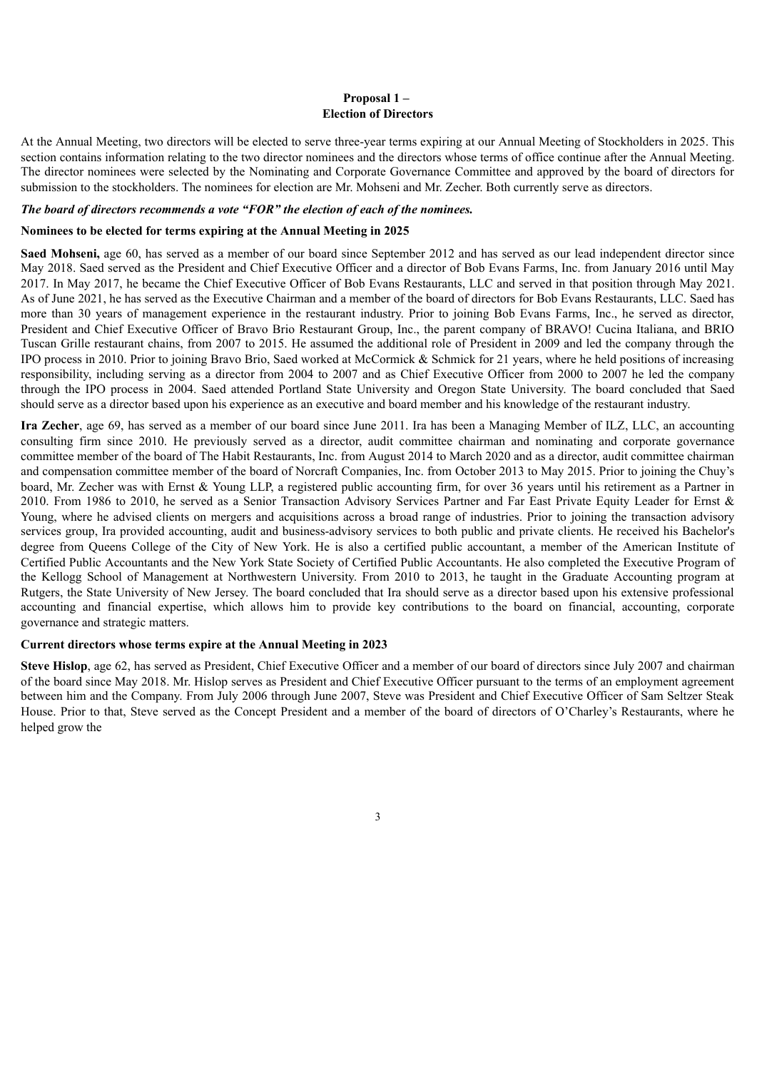## **Proposal 1 – Election of Directors**

At the Annual Meeting, two directors will be elected to serve three-year terms expiring at our Annual Meeting of Stockholders in 2025. This section contains information relating to the two director nominees and the directors whose terms of office continue after the Annual Meeting. The director nominees were selected by the Nominating and Corporate Governance Committee and approved by the board of directors for submission to the stockholders. The nominees for election are Mr. Mohseni and Mr. Zecher. Both currently serve as directors.

## *The board of directors recommends a vote "FOR" the election of each of the nominees.*

#### **Nominees to be elected for terms expiring at the Annual Meeting in 2025**

**Saed Mohseni,** age 60, has served as a member of our board since September 2012 and has served as our lead independent director since May 2018. Saed served as the President and Chief Executive Officer and a director of Bob Evans Farms, Inc. from January 2016 until May 2017. In May 2017, he became the Chief Executive Officer of Bob Evans Restaurants, LLC and served in that position through May 2021. As of June 2021, he has served as the Executive Chairman and a member of the board of directors for Bob Evans Restaurants, LLC. Saed has more than 30 years of management experience in the restaurant industry. Prior to joining Bob Evans Farms, Inc., he served as director, President and Chief Executive Officer of Bravo Brio Restaurant Group, Inc., the parent company of BRAVO! Cucina Italiana, and BRIO Tuscan Grille restaurant chains, from 2007 to 2015. He assumed the additional role of President in 2009 and led the company through the IPO process in 2010. Prior to joining Bravo Brio, Saed worked at McCormick & Schmick for 21 years, where he held positions of increasing responsibility, including serving as a director from 2004 to 2007 and as Chief Executive Officer from 2000 to 2007 he led the company through the IPO process in 2004. Saed attended Portland State University and Oregon State University. The board concluded that Saed should serve as a director based upon his experience as an executive and board member and his knowledge of the restaurant industry.

**Ira Zecher**, age 69, has served as a member of our board since June 2011. Ira has been a Managing Member of ILZ, LLC, an accounting consulting firm since 2010. He previously served as a director, audit committee chairman and nominating and corporate governance committee member of the board of The Habit Restaurants, Inc. from August 2014 to March 2020 and as a director, audit committee chairman and compensation committee member of the board of Norcraft Companies, Inc. from October 2013 to May 2015. Prior to joining the Chuy's board, Mr. Zecher was with Ernst & Young LLP, a registered public accounting firm, for over 36 years until his retirement as a Partner in 2010. From 1986 to 2010, he served as a Senior Transaction Advisory Services Partner and Far East Private Equity Leader for Ernst & Young, where he advised clients on mergers and acquisitions across a broad range of industries. Prior to joining the transaction advisory services group, Ira provided accounting, audit and business-advisory services to both public and private clients. He received his Bachelor's degree from Queens College of the City of New York. He is also a certified public accountant, a member of the American Institute of Certified Public Accountants and the New York State Society of Certified Public Accountants. He also completed the Executive Program of the Kellogg School of Management at Northwestern University. From 2010 to 2013, he taught in the Graduate Accounting program at Rutgers, the State University of New Jersey. The board concluded that Ira should serve as a director based upon his extensive professional accounting and financial expertise, which allows him to provide key contributions to the board on financial, accounting, corporate governance and strategic matters.

#### **Current directors whose terms expire at the Annual Meeting in 2023**

**Steve Hislop**, age 62, has served as President, Chief Executive Officer and a member of our board of directors since July 2007 and chairman of the board since May 2018. Mr. Hislop serves as President and Chief Executive Officer pursuant to the terms of an employment agreement between him and the Company. From July 2006 through June 2007, Steve was President and Chief Executive Officer of Sam Seltzer Steak House. Prior to that, Steve served as the Concept President and a member of the board of directors of O'Charley's Restaurants, where he helped grow the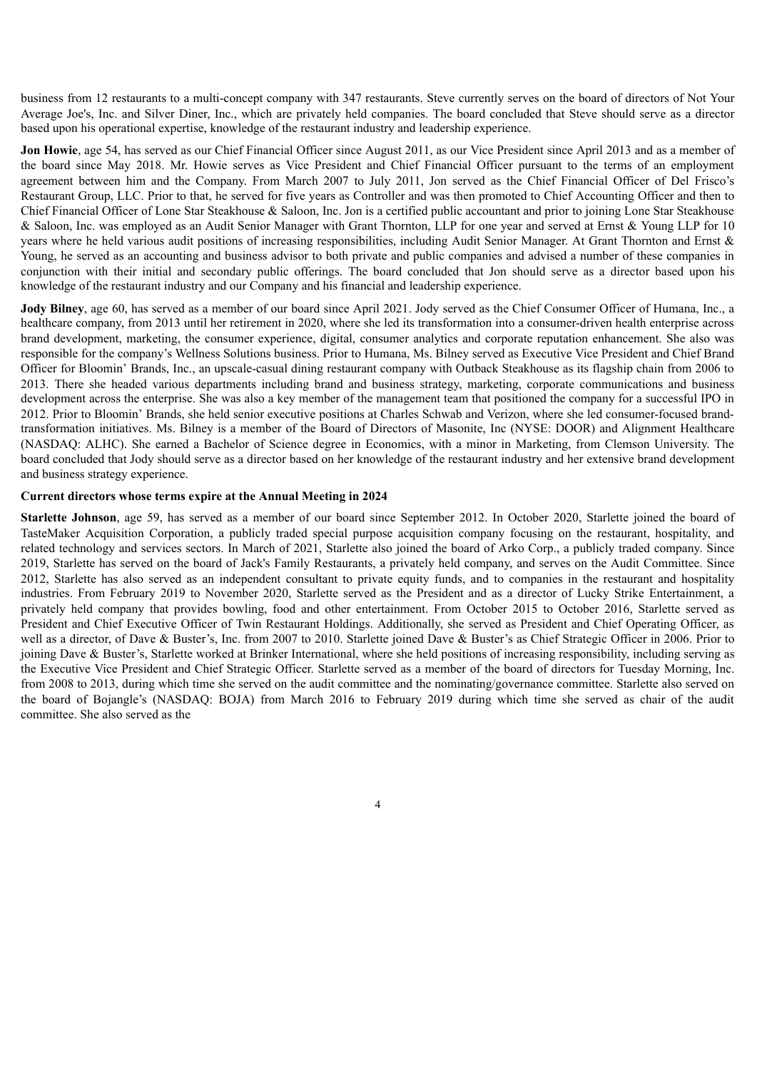business from 12 restaurants to a multi-concept company with 347 restaurants. Steve currently serves on the board of directors of Not Your Average Joe's, Inc. and Silver Diner, Inc., which are privately held companies. The board concluded that Steve should serve as a director based upon his operational expertise, knowledge of the restaurant industry and leadership experience.

**Jon Howie**, age 54, has served as our Chief Financial Officer since August 2011, as our Vice President since April 2013 and as a member of the board since May 2018. Mr. Howie serves as Vice President and Chief Financial Officer pursuant to the terms of an employment agreement between him and the Company. From March 2007 to July 2011, Jon served as the Chief Financial Officer of Del Frisco's Restaurant Group, LLC. Prior to that, he served for five years as Controller and was then promoted to Chief Accounting Officer and then to Chief Financial Officer of Lone Star Steakhouse & Saloon, Inc. Jon is a certified public accountant and prior to joining Lone Star Steakhouse & Saloon, Inc. was employed as an Audit Senior Manager with Grant Thornton, LLP for one year and served at Ernst & Young LLP for 10 years where he held various audit positions of increasing responsibilities, including Audit Senior Manager. At Grant Thornton and Ernst & Young, he served as an accounting and business advisor to both private and public companies and advised a number of these companies in conjunction with their initial and secondary public offerings. The board concluded that Jon should serve as a director based upon his knowledge of the restaurant industry and our Company and his financial and leadership experience.

**Jody Bilney**, age 60, has served as a member of our board since April 2021. Jody served as the Chief Consumer Officer of Humana, Inc., a healthcare company, from 2013 until her retirement in 2020, where she led its transformation into a consumer-driven health enterprise across brand development, marketing, the consumer experience, digital, consumer analytics and corporate reputation enhancement. She also was responsible for the company's Wellness Solutions business. Prior to Humana, Ms. Bilney served as Executive Vice President and Chief Brand Officer for Bloomin' Brands, Inc., an upscale-casual dining restaurant company with Outback Steakhouse as its flagship chain from 2006 to 2013. There she headed various departments including brand and business strategy, marketing, corporate communications and business development across the enterprise. She was also a key member of the management team that positioned the company for a successful IPO in 2012. Prior to Bloomin' Brands, she held senior executive positions at Charles Schwab and Verizon, where she led consumer-focused brandtransformation initiatives. Ms. Bilney is a member of the Board of Directors of Masonite, Inc (NYSE: DOOR) and Alignment Healthcare (NASDAQ: ALHC). She earned a Bachelor of Science degree in Economics, with a minor in Marketing, from Clemson University. The board concluded that Jody should serve as a director based on her knowledge of the restaurant industry and her extensive brand development and business strategy experience.

#### **Current directors whose terms expire at the Annual Meeting in 2024**

**Starlette Johnson**, age 59, has served as a member of our board since September 2012. In October 2020, Starlette joined the board of TasteMaker Acquisition Corporation, a publicly traded special purpose acquisition company focusing on the restaurant, hospitality, and related technology and services sectors. In March of 2021, Starlette also joined the board of Arko Corp., a publicly traded company. Since 2019, Starlette has served on the board of Jack's Family Restaurants, a privately held company, and serves on the Audit Committee. Since 2012, Starlette has also served as an independent consultant to private equity funds, and to companies in the restaurant and hospitality industries. From February 2019 to November 2020, Starlette served as the President and as a director of Lucky Strike Entertainment, a privately held company that provides bowling, food and other entertainment. From October 2015 to October 2016, Starlette served as President and Chief Executive Officer of Twin Restaurant Holdings. Additionally, she served as President and Chief Operating Officer, as well as a director, of Dave & Buster's, Inc. from 2007 to 2010. Starlette joined Dave & Buster's as Chief Strategic Officer in 2006. Prior to joining Dave & Buster's, Starlette worked at Brinker International, where she held positions of increasing responsibility, including serving as the Executive Vice President and Chief Strategic Officer. Starlette served as a member of the board of directors for Tuesday Morning, Inc. from 2008 to 2013, during which time she served on the audit committee and the nominating/governance committee. Starlette also served on the board of Bojangle's (NASDAQ: BOJA) from March 2016 to February 2019 during which time she served as chair of the audit committee. She also served as the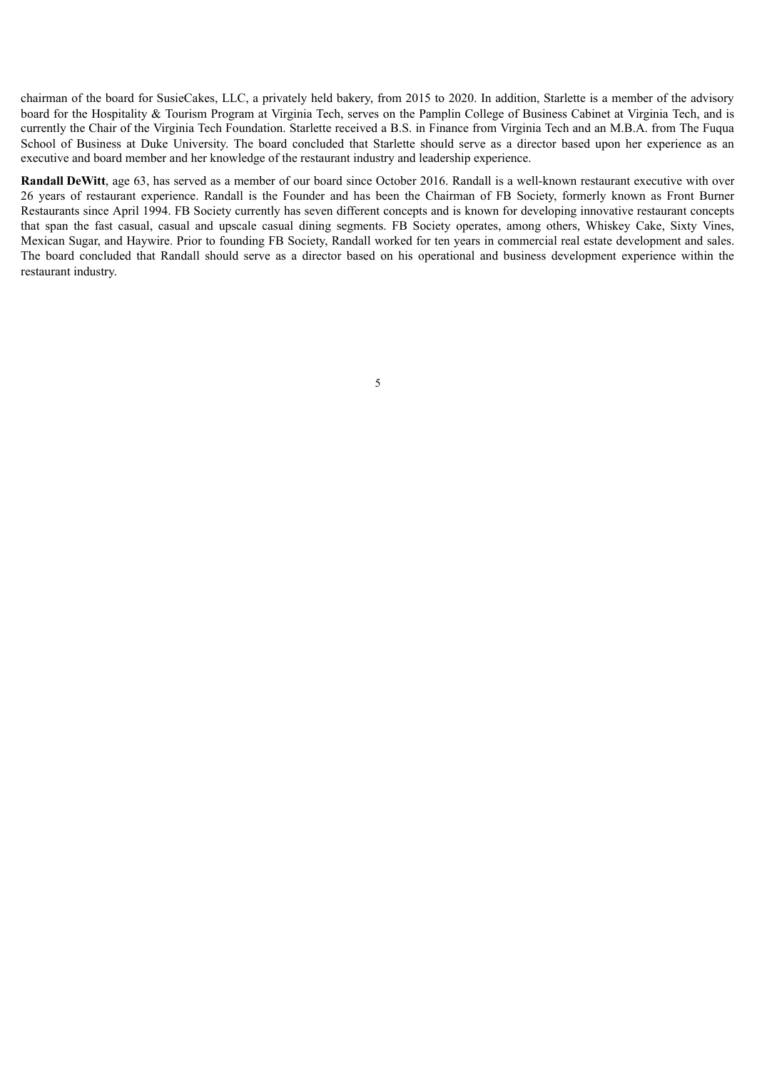chairman of the board for SusieCakes, LLC, a privately held bakery, from 2015 to 2020. In addition, Starlette is a member of the advisory board for the Hospitality & Tourism Program at Virginia Tech, serves on the Pamplin College of Business Cabinet at Virginia Tech, and is currently the Chair of the Virginia Tech Foundation. Starlette received a B.S. in Finance from Virginia Tech and an M.B.A. from The Fuqua School of Business at Duke University. The board concluded that Starlette should serve as a director based upon her experience as an executive and board member and her knowledge of the restaurant industry and leadership experience.

<span id="page-8-0"></span>**Randall DeWitt**, age 63, has served as a member of our board since October 2016. Randall is a well-known restaurant executive with over 26 years of restaurant experience. Randall is the Founder and has been the Chairman of FB Society, formerly known as Front Burner Restaurants since April 1994. FB Society currently has seven different concepts and is known for developing innovative restaurant concepts that span the fast casual, casual and upscale casual dining segments. FB Society operates, among others, Whiskey Cake, Sixty Vines, Mexican Sugar, and Haywire. Prior to founding FB Society, Randall worked for ten years in commercial real estate development and sales. The board concluded that Randall should serve as a director based on his operational and business development experience within the restaurant industry.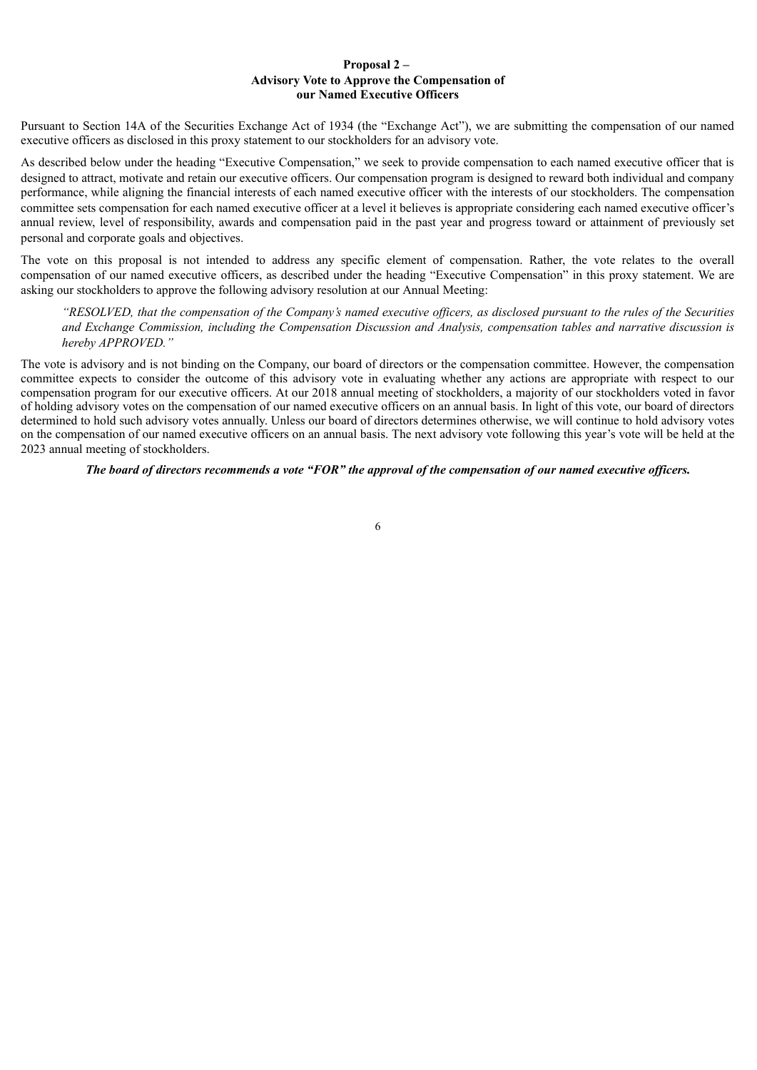## **Proposal 2 – Advisory Vote to Approve the Compensation of our Named Executive Officers**

Pursuant to Section 14A of the Securities Exchange Act of 1934 (the "Exchange Act"), we are submitting the compensation of our named executive officers as disclosed in this proxy statement to our stockholders for an advisory vote.

As described below under the heading "Executive Compensation," we seek to provide compensation to each named executive officer that is designed to attract, motivate and retain our executive officers. Our compensation program is designed to reward both individual and company performance, while aligning the financial interests of each named executive officer with the interests of our stockholders. The compensation committee sets compensation for each named executive officer at a level it believes is appropriate considering each named executive officer's annual review, level of responsibility, awards and compensation paid in the past year and progress toward or attainment of previously set personal and corporate goals and objectives.

The vote on this proposal is not intended to address any specific element of compensation. Rather, the vote relates to the overall compensation of our named executive officers, as described under the heading "Executive Compensation" in this proxy statement. We are asking our stockholders to approve the following advisory resolution at our Annual Meeting:

"RESOLVED, that the compensation of the Company's named executive officers, as disclosed pursuant to the rules of the Securities and Exchange Commission, including the Compensation Discussion and Analysis, compensation tables and narrative discussion is *hereby APPROVED."*

The vote is advisory and is not binding on the Company, our board of directors or the compensation committee. However, the compensation committee expects to consider the outcome of this advisory vote in evaluating whether any actions are appropriate with respect to our compensation program for our executive officers. At our 2018 annual meeting of stockholders, a majority of our stockholders voted in favor of holding advisory votes on the compensation of our named executive officers on an annual basis. In light of this vote, our board of directors determined to hold such advisory votes annually. Unless our board of directors determines otherwise, we will continue to hold advisory votes on the compensation of our named executive officers on an annual basis. The next advisory vote following this year's vote will be held at the 2023 annual meeting of stockholders.

<span id="page-9-0"></span>The board of directors recommends a vote "FOR" the approval of the compensation of our named executive officers.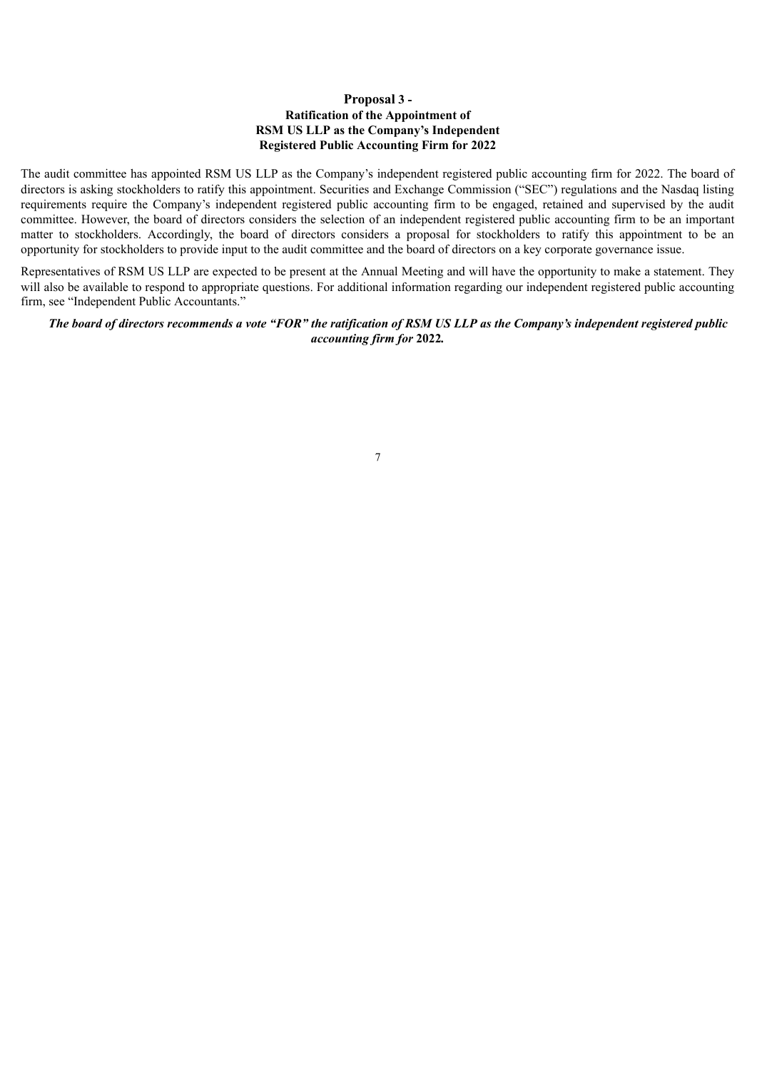## **Proposal 3 - Ratification of the Appointment of RSM US LLP as the Company's Independent Registered Public Accounting Firm for 2022**

The audit committee has appointed RSM US LLP as the Company's independent registered public accounting firm for 2022. The board of directors is asking stockholders to ratify this appointment. Securities and Exchange Commission ("SEC") regulations and the Nasdaq listing requirements require the Company's independent registered public accounting firm to be engaged, retained and supervised by the audit committee. However, the board of directors considers the selection of an independent registered public accounting firm to be an important matter to stockholders. Accordingly, the board of directors considers a proposal for stockholders to ratify this appointment to be an opportunity for stockholders to provide input to the audit committee and the board of directors on a key corporate governance issue.

Representatives of RSM US LLP are expected to be present at the Annual Meeting and will have the opportunity to make a statement. They will also be available to respond to appropriate questions. For additional information regarding our independent registered public accounting firm, see "Independent Public Accountants."

## <span id="page-10-0"></span>The board of directors recommends a vote "FOR" the ratification of RSM US LLP as the Company's independent registered public *accounting firm for* **2022***.*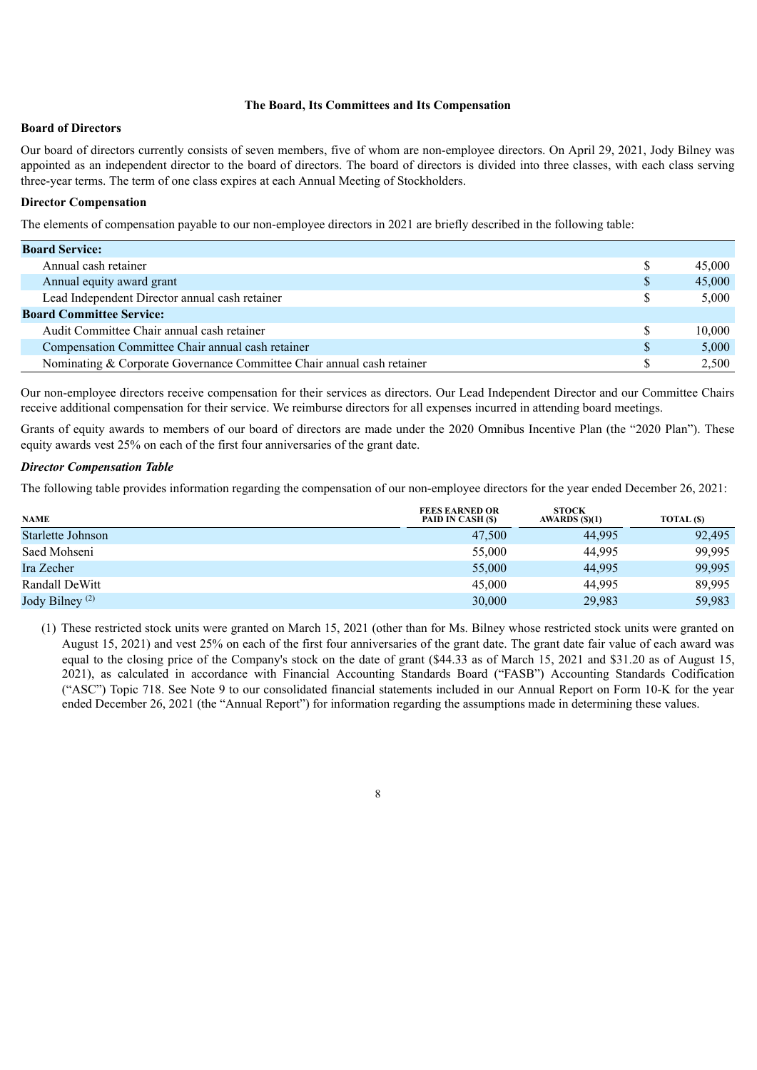#### **The Board, Its Committees and Its Compensation**

#### **Board of Directors**

Our board of directors currently consists of seven members, five of whom are non-employee directors. On April 29, 2021, Jody Bilney was appointed as an independent director to the board of directors. The board of directors is divided into three classes, with each class serving three-year terms. The term of one class expires at each Annual Meeting of Stockholders.

## **Director Compensation**

The elements of compensation payable to our non-employee directors in 2021 are briefly described in the following table:

| <b>Board Service:</b>                                                  |              |        |
|------------------------------------------------------------------------|--------------|--------|
| Annual cash retainer                                                   | \$           | 45,000 |
| Annual equity award grant                                              | <sup>S</sup> | 45,000 |
| Lead Independent Director annual cash retainer                         | S            | 5.000  |
| <b>Board Committee Service:</b>                                        |              |        |
| Audit Committee Chair annual cash retainer                             | \$           | 10.000 |
| Compensation Committee Chair annual cash retainer                      | <sup>S</sup> | 5,000  |
| Nominating & Corporate Governance Committee Chair annual cash retainer |              | 2.500  |

Our non-employee directors receive compensation for their services as directors. Our Lead Independent Director and our Committee Chairs receive additional compensation for their service. We reimburse directors for all expenses incurred in attending board meetings.

Grants of equity awards to members of our board of directors are made under the 2020 Omnibus Incentive Plan (the "2020 Plan"). These equity awards vest 25% on each of the first four anniversaries of the grant date.

## *Director Compensation Table*

The following table provides information regarding the compensation of our non-employee directors for the year ended December 26, 2021:

| <b>NAME</b>                | <b>FEES EARNED OR</b><br>PAID IN CASH (\$) | <b>STOCK</b><br>AWARDS(\$)(1) | TOTAL (\$) |
|----------------------------|--------------------------------------------|-------------------------------|------------|
| Starlette Johnson          | 47.500                                     | 44,995                        | 92,495     |
| Saed Mohseni               | 55,000                                     | 44.995                        | 99,995     |
| Ira Zecher                 | 55,000                                     | 44,995                        | 99,995     |
| Randall DeWitt             | 45,000                                     | 44.995                        | 89,995     |
| Jody Bilney <sup>(2)</sup> | 30,000                                     | 29,983                        | 59,983     |

(1) These restricted stock units were granted on March 15, 2021 (other than for Ms. Bilney whose restricted stock units were granted on August 15, 2021) and vest 25% on each of the first four anniversaries of the grant date. The grant date fair value of each award was equal to the closing price of the Company's stock on the date of grant (\$44.33 as of March 15, 2021 and \$31.20 as of August 15, 2021), as calculated in accordance with Financial Accounting Standards Board ("FASB") Accounting Standards Codification ("ASC") Topic 718. See Note 9 to our consolidated financial statements included in our Annual Report on Form 10-K for the year ended December 26, 2021 (the "Annual Report") for information regarding the assumptions made in determining these values.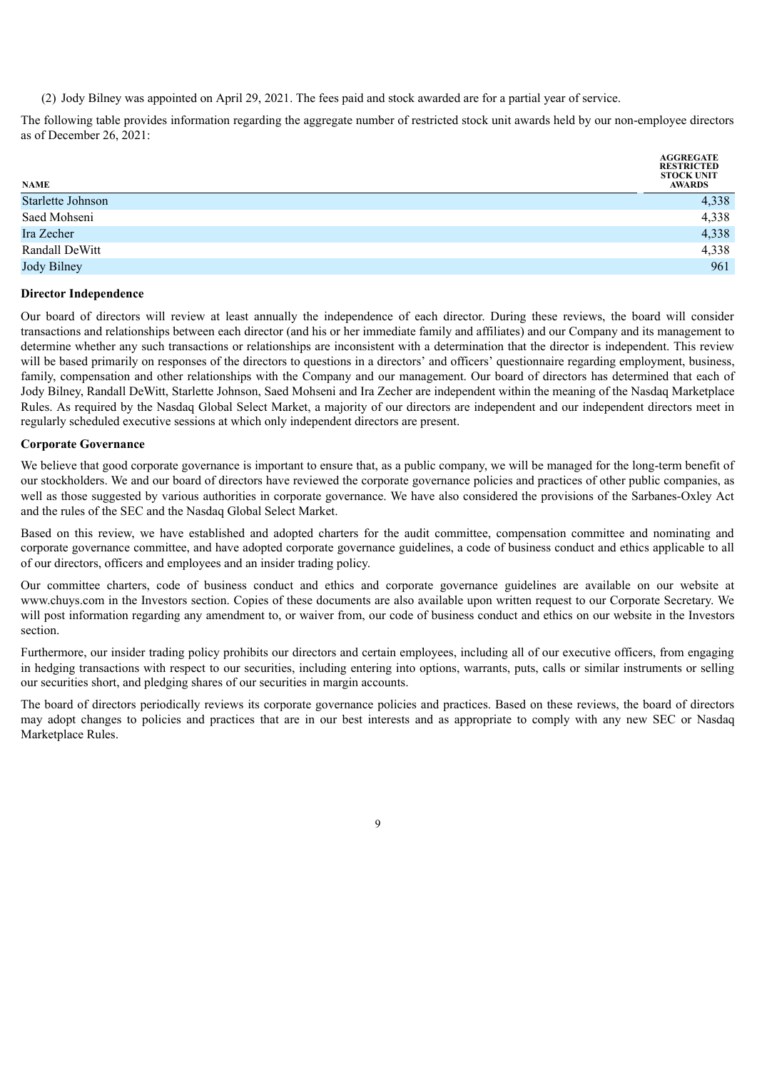(2) Jody Bilney was appointed on April 29, 2021. The fees paid and stock awarded are for a partial year of service.

The following table provides information regarding the aggregate number of restricted stock unit awards held by our non-employee directors as of December 26, 2021:

| <b>NAME</b>       | <b>AGGREGATE</b><br><b>RESTRICTED</b><br><b>STOCK UNIT</b><br><b>AWARDS</b> |
|-------------------|-----------------------------------------------------------------------------|
| Starlette Johnson | 4,338                                                                       |
| Saed Mohseni      | 4,338                                                                       |
| Ira Zecher        | 4,338                                                                       |
| Randall DeWitt    | 4,338                                                                       |
| Jody Bilney       | 961                                                                         |

#### **Director Independence**

Our board of directors will review at least annually the independence of each director. During these reviews, the board will consider transactions and relationships between each director (and his or her immediate family and affiliates) and our Company and its management to determine whether any such transactions or relationships are inconsistent with a determination that the director is independent. This review will be based primarily on responses of the directors to questions in a directors' and officers' questionnaire regarding employment, business, family, compensation and other relationships with the Company and our management. Our board of directors has determined that each of Jody Bilney, Randall DeWitt, Starlette Johnson, Saed Mohseni and Ira Zecher are independent within the meaning of the Nasdaq Marketplace Rules. As required by the Nasdaq Global Select Market, a majority of our directors are independent and our independent directors meet in regularly scheduled executive sessions at which only independent directors are present.

#### **Corporate Governance**

We believe that good corporate governance is important to ensure that, as a public company, we will be managed for the long-term benefit of our stockholders. We and our board of directors have reviewed the corporate governance policies and practices of other public companies, as well as those suggested by various authorities in corporate governance. We have also considered the provisions of the Sarbanes-Oxley Act and the rules of the SEC and the Nasdaq Global Select Market.

Based on this review, we have established and adopted charters for the audit committee, compensation committee and nominating and corporate governance committee, and have adopted corporate governance guidelines, a code of business conduct and ethics applicable to all of our directors, officers and employees and an insider trading policy.

Our committee charters, code of business conduct and ethics and corporate governance guidelines are available on our website at www.chuys.com in the Investors section. Copies of these documents are also available upon written request to our Corporate Secretary. We will post information regarding any amendment to, or waiver from, our code of business conduct and ethics on our website in the Investors section.

Furthermore, our insider trading policy prohibits our directors and certain employees, including all of our executive officers, from engaging in hedging transactions with respect to our securities, including entering into options, warrants, puts, calls or similar instruments or selling our securities short, and pledging shares of our securities in margin accounts.

The board of directors periodically reviews its corporate governance policies and practices. Based on these reviews, the board of directors may adopt changes to policies and practices that are in our best interests and as appropriate to comply with any new SEC or Nasdaq Marketplace Rules.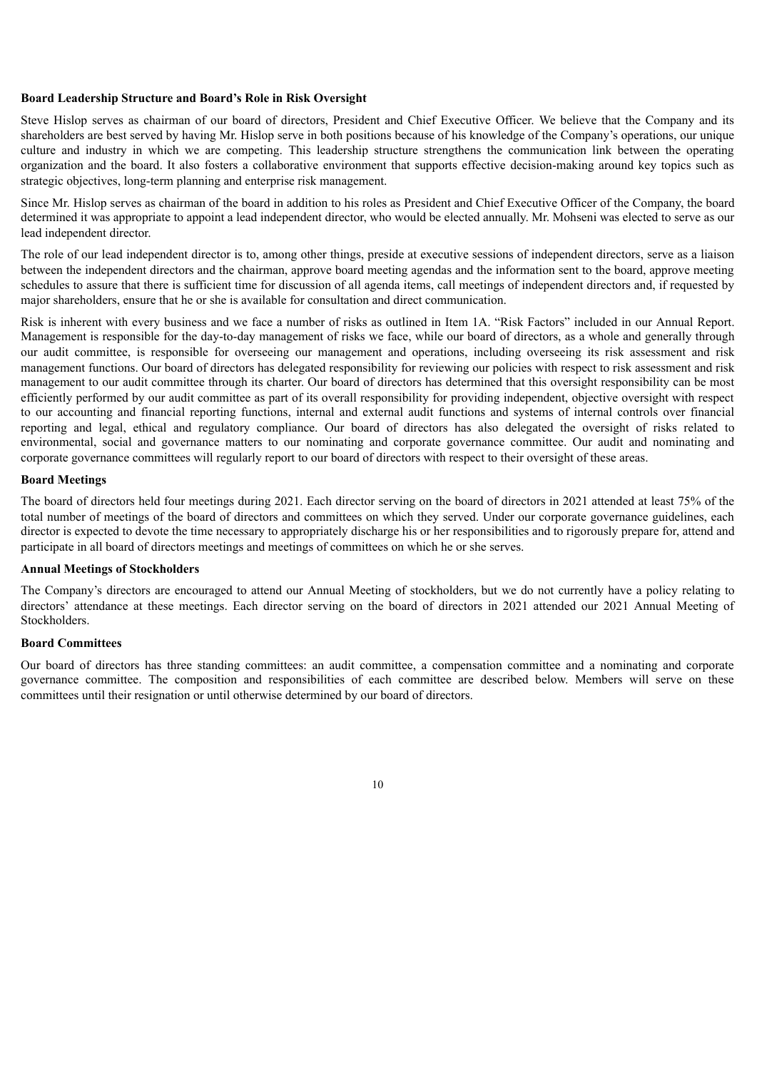## **Board Leadership Structure and Board's Role in Risk Oversight**

Steve Hislop serves as chairman of our board of directors, President and Chief Executive Officer. We believe that the Company and its shareholders are best served by having Mr. Hislop serve in both positions because of his knowledge of the Company's operations, our unique culture and industry in which we are competing. This leadership structure strengthens the communication link between the operating organization and the board. It also fosters a collaborative environment that supports effective decision-making around key topics such as strategic objectives, long-term planning and enterprise risk management.

Since Mr. Hislop serves as chairman of the board in addition to his roles as President and Chief Executive Officer of the Company, the board determined it was appropriate to appoint a lead independent director, who would be elected annually. Mr. Mohseni was elected to serve as our lead independent director.

The role of our lead independent director is to, among other things, preside at executive sessions of independent directors, serve as a liaison between the independent directors and the chairman, approve board meeting agendas and the information sent to the board, approve meeting schedules to assure that there is sufficient time for discussion of all agenda items, call meetings of independent directors and, if requested by major shareholders, ensure that he or she is available for consultation and direct communication.

Risk is inherent with every business and we face a number of risks as outlined in Item 1A. "Risk Factors" included in our Annual Report. Management is responsible for the day-to-day management of risks we face, while our board of directors, as a whole and generally through our audit committee, is responsible for overseeing our management and operations, including overseeing its risk assessment and risk management functions. Our board of directors has delegated responsibility for reviewing our policies with respect to risk assessment and risk management to our audit committee through its charter. Our board of directors has determined that this oversight responsibility can be most efficiently performed by our audit committee as part of its overall responsibility for providing independent, objective oversight with respect to our accounting and financial reporting functions, internal and external audit functions and systems of internal controls over financial reporting and legal, ethical and regulatory compliance. Our board of directors has also delegated the oversight of risks related to environmental, social and governance matters to our nominating and corporate governance committee. Our audit and nominating and corporate governance committees will regularly report to our board of directors with respect to their oversight of these areas.

#### **Board Meetings**

The board of directors held four meetings during 2021. Each director serving on the board of directors in 2021 attended at least 75% of the total number of meetings of the board of directors and committees on which they served. Under our corporate governance guidelines, each director is expected to devote the time necessary to appropriately discharge his or her responsibilities and to rigorously prepare for, attend and participate in all board of directors meetings and meetings of committees on which he or she serves.

## **Annual Meetings of Stockholders**

The Company's directors are encouraged to attend our Annual Meeting of stockholders, but we do not currently have a policy relating to directors' attendance at these meetings. Each director serving on the board of directors in 2021 attended our 2021 Annual Meeting of Stockholders.

### **Board Committees**

Our board of directors has three standing committees: an audit committee, a compensation committee and a nominating and corporate governance committee. The composition and responsibilities of each committee are described below. Members will serve on these committees until their resignation or until otherwise determined by our board of directors.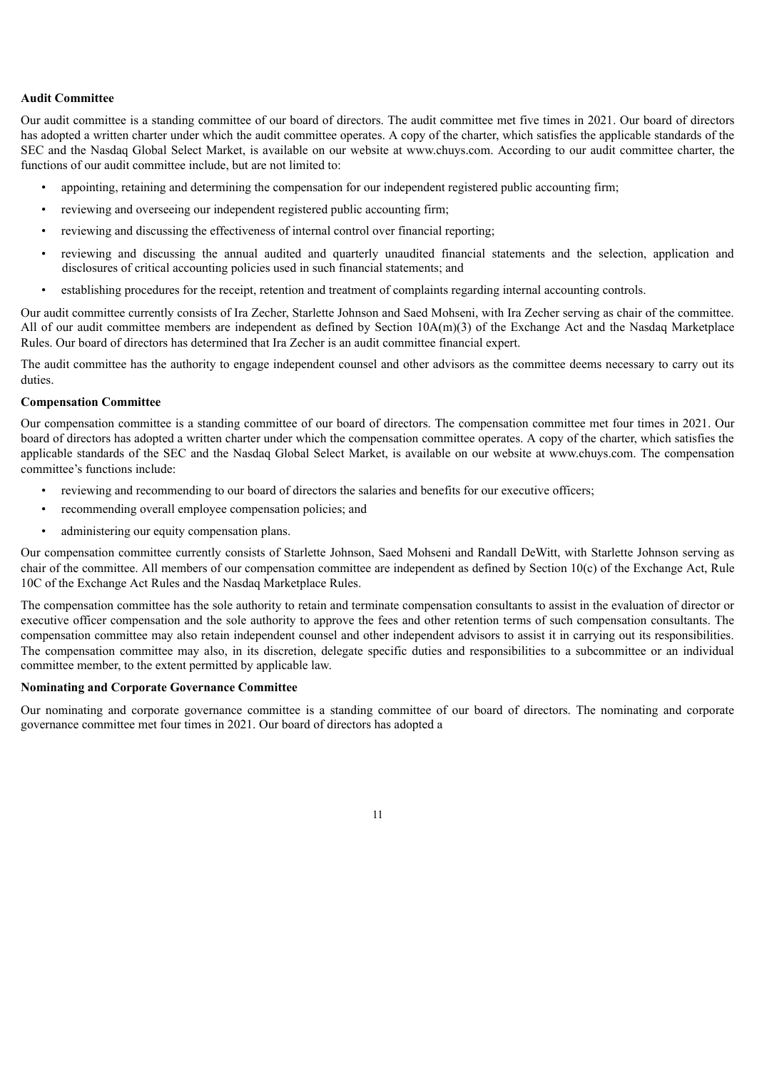#### **Audit Committee**

Our audit committee is a standing committee of our board of directors. The audit committee met five times in 2021. Our board of directors has adopted a written charter under which the audit committee operates. A copy of the charter, which satisfies the applicable standards of the SEC and the Nasdaq Global Select Market, is available on our website at www.chuys.com. According to our audit committee charter, the functions of our audit committee include, but are not limited to:

- appointing, retaining and determining the compensation for our independent registered public accounting firm;
- reviewing and overseeing our independent registered public accounting firm;
- reviewing and discussing the effectiveness of internal control over financial reporting;
- reviewing and discussing the annual audited and quarterly unaudited financial statements and the selection, application and disclosures of critical accounting policies used in such financial statements; and
- establishing procedures for the receipt, retention and treatment of complaints regarding internal accounting controls.

Our audit committee currently consists of Ira Zecher, Starlette Johnson and Saed Mohseni, with Ira Zecher serving as chair of the committee. All of our audit committee members are independent as defined by Section 10A(m)(3) of the Exchange Act and the Nasdaq Marketplace Rules. Our board of directors has determined that Ira Zecher is an audit committee financial expert.

The audit committee has the authority to engage independent counsel and other advisors as the committee deems necessary to carry out its duties.

#### **Compensation Committee**

Our compensation committee is a standing committee of our board of directors. The compensation committee met four times in 2021. Our board of directors has adopted a written charter under which the compensation committee operates. A copy of the charter, which satisfies the applicable standards of the SEC and the Nasdaq Global Select Market, is available on our website at www.chuys.com. The compensation committee's functions include:

- reviewing and recommending to our board of directors the salaries and benefits for our executive officers;
- recommending overall employee compensation policies; and
- administering our equity compensation plans.

Our compensation committee currently consists of Starlette Johnson, Saed Mohseni and Randall DeWitt, with Starlette Johnson serving as chair of the committee. All members of our compensation committee are independent as defined by Section 10(c) of the Exchange Act, Rule 10C of the Exchange Act Rules and the Nasdaq Marketplace Rules.

The compensation committee has the sole authority to retain and terminate compensation consultants to assist in the evaluation of director or executive officer compensation and the sole authority to approve the fees and other retention terms of such compensation consultants. The compensation committee may also retain independent counsel and other independent advisors to assist it in carrying out its responsibilities. The compensation committee may also, in its discretion, delegate specific duties and responsibilities to a subcommittee or an individual committee member, to the extent permitted by applicable law.

#### **Nominating and Corporate Governance Committee**

Our nominating and corporate governance committee is a standing committee of our board of directors. The nominating and corporate governance committee met four times in 2021. Our board of directors has adopted a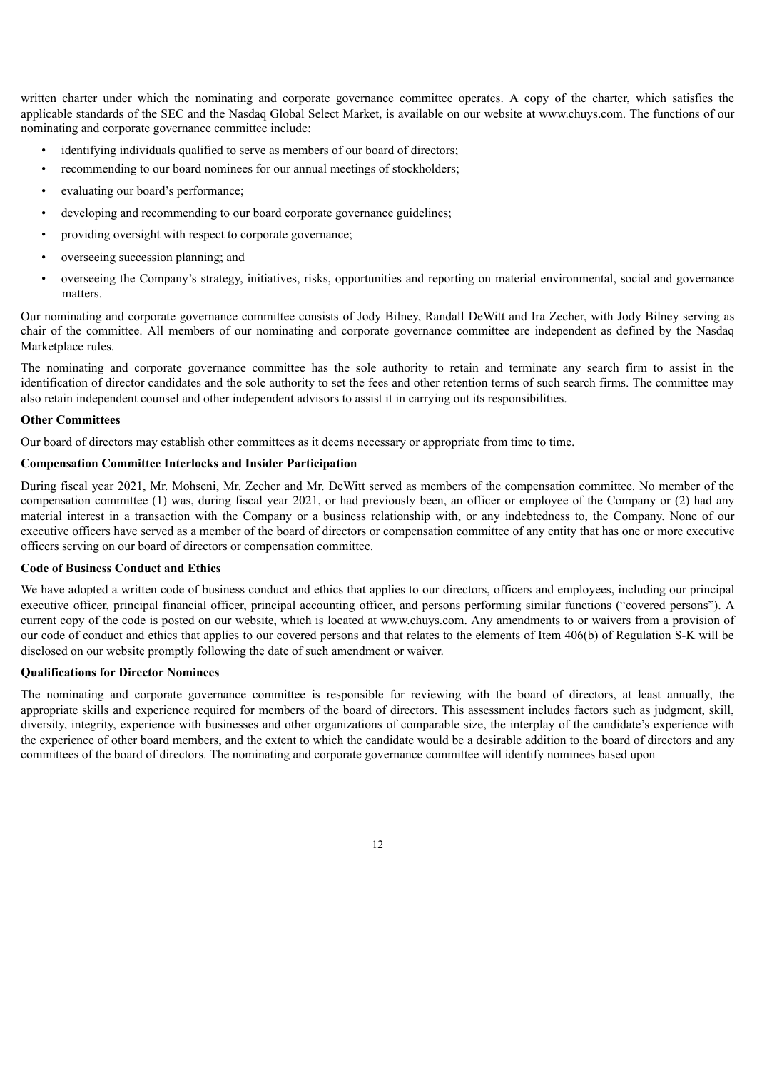written charter under which the nominating and corporate governance committee operates. A copy of the charter, which satisfies the applicable standards of the SEC and the Nasdaq Global Select Market, is available on our website at www.chuys.com. The functions of our nominating and corporate governance committee include:

- identifying individuals qualified to serve as members of our board of directors;
- recommending to our board nominees for our annual meetings of stockholders;
- evaluating our board's performance;
- developing and recommending to our board corporate governance guidelines;
- providing oversight with respect to corporate governance;
- overseeing succession planning; and
- overseeing the Company's strategy, initiatives, risks, opportunities and reporting on material environmental, social and governance matters.

Our nominating and corporate governance committee consists of Jody Bilney, Randall DeWitt and Ira Zecher, with Jody Bilney serving as chair of the committee. All members of our nominating and corporate governance committee are independent as defined by the Nasdaq Marketplace rules.

The nominating and corporate governance committee has the sole authority to retain and terminate any search firm to assist in the identification of director candidates and the sole authority to set the fees and other retention terms of such search firms. The committee may also retain independent counsel and other independent advisors to assist it in carrying out its responsibilities.

#### **Other Committees**

Our board of directors may establish other committees as it deems necessary or appropriate from time to time.

#### **Compensation Committee Interlocks and Insider Participation**

During fiscal year 2021, Mr. Mohseni, Mr. Zecher and Mr. DeWitt served as members of the compensation committee. No member of the compensation committee (1) was, during fiscal year 2021, or had previously been, an officer or employee of the Company or (2) had any material interest in a transaction with the Company or a business relationship with, or any indebtedness to, the Company. None of our executive officers have served as a member of the board of directors or compensation committee of any entity that has one or more executive officers serving on our board of directors or compensation committee.

## **Code of Business Conduct and Ethics**

We have adopted a written code of business conduct and ethics that applies to our directors, officers and employees, including our principal executive officer, principal financial officer, principal accounting officer, and persons performing similar functions ("covered persons"). A current copy of the code is posted on our website, which is located at www.chuys.com. Any amendments to or waivers from a provision of our code of conduct and ethics that applies to our covered persons and that relates to the elements of Item 406(b) of Regulation S-K will be disclosed on our website promptly following the date of such amendment or waiver.

#### **Qualifications for Director Nominees**

The nominating and corporate governance committee is responsible for reviewing with the board of directors, at least annually, the appropriate skills and experience required for members of the board of directors. This assessment includes factors such as judgment, skill, diversity, integrity, experience with businesses and other organizations of comparable size, the interplay of the candidate's experience with the experience of other board members, and the extent to which the candidate would be a desirable addition to the board of directors and any committees of the board of directors. The nominating and corporate governance committee will identify nominees based upon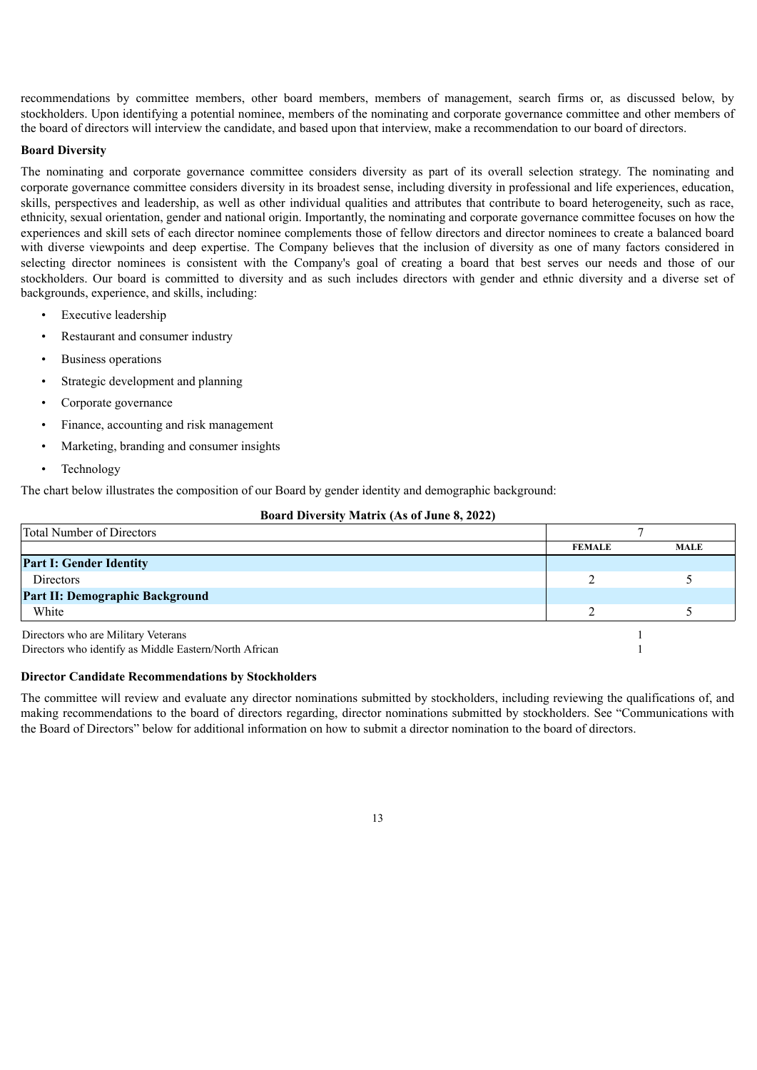recommendations by committee members, other board members, members of management, search firms or, as discussed below, by stockholders. Upon identifying a potential nominee, members of the nominating and corporate governance committee and other members of the board of directors will interview the candidate, and based upon that interview, make a recommendation to our board of directors.

#### **Board Diversity**

The nominating and corporate governance committee considers diversity as part of its overall selection strategy. The nominating and corporate governance committee considers diversity in its broadest sense, including diversity in professional and life experiences, education, skills, perspectives and leadership, as well as other individual qualities and attributes that contribute to board heterogeneity, such as race, ethnicity, sexual orientation, gender and national origin. Importantly, the nominating and corporate governance committee focuses on how the experiences and skill sets of each director nominee complements those of fellow directors and director nominees to create a balanced board with diverse viewpoints and deep expertise. The Company believes that the inclusion of diversity as one of many factors considered in selecting director nominees is consistent with the Company's goal of creating a board that best serves our needs and those of our stockholders. Our board is committed to diversity and as such includes directors with gender and ethnic diversity and a diverse set of backgrounds, experience, and skills, including:

- **Executive leadership**
- Restaurant and consumer industry
- Business operations
- Strategic development and planning
- Corporate governance
- Finance, accounting and risk management
- Marketing, branding and consumer insights
- Technology

The chart below illustrates the composition of our Board by gender identity and demographic background:

| <b>Total Number of Directors</b>                       |               |             |
|--------------------------------------------------------|---------------|-------------|
|                                                        | <b>FEMALE</b> | <b>MALE</b> |
| Part I: Gender Identity                                |               |             |
| Directors                                              |               |             |
| <b>Part II: Demographic Background</b>                 |               |             |
| White                                                  |               |             |
| Directors who are Military Veterans                    |               |             |
| Directors who identify as Middle Eastern/North African |               |             |

## **Board Diversity Matrix (As of June 8, 2022)**

## **Director Candidate Recommendations by Stockholders**

The committee will review and evaluate any director nominations submitted by stockholders, including reviewing the qualifications of, and making recommendations to the board of directors regarding, director nominations submitted by stockholders. See "Communications with the Board of Directors" below for additional information on how to submit a director nomination to the board of directors.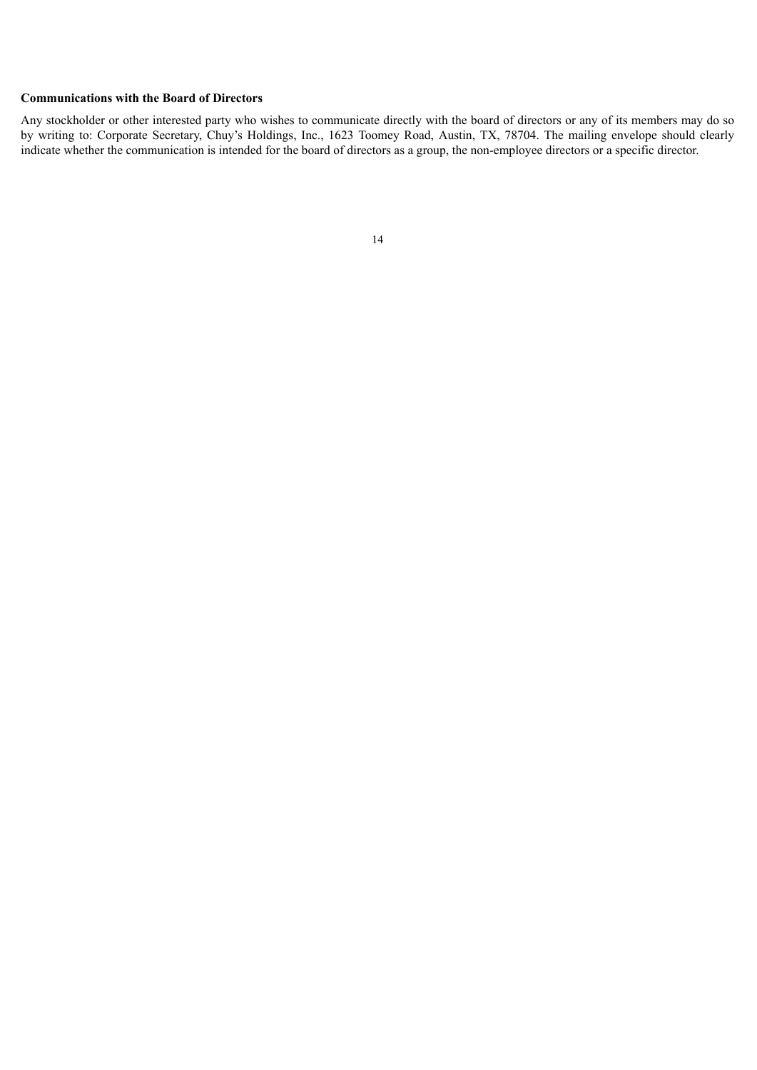## **Communications with the Board of Directors**

<span id="page-17-0"></span>Any stockholder or other interested party who wishes to communicate directly with the board of directors or any of its members may do so by writing to: Corporate Secretary, Chuy's Holdings, Inc., 1623 Toomey Road, Austin, TX, 78704. The mailing envelope should clearly indicate whether the communication is intended for the board of directors as a group, the non-employee directors or a specific director.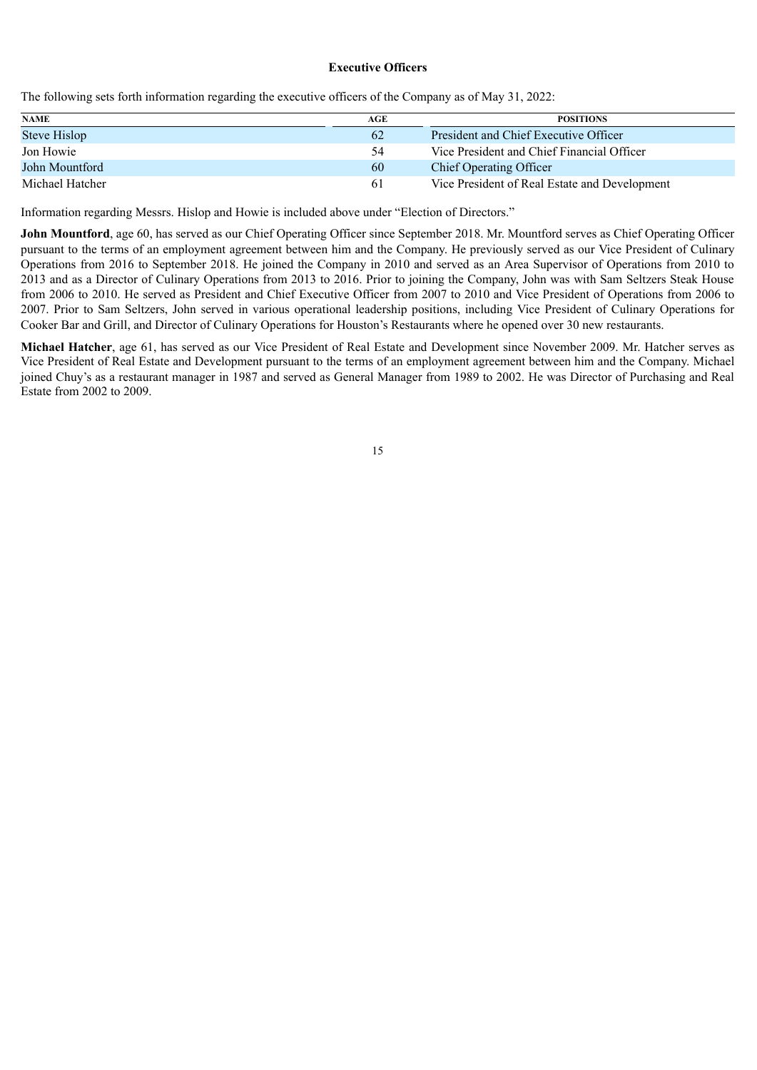#### **Executive Officers**

The following sets forth information regarding the executive officers of the Company as of May 31, 2022:

| <b>NAME</b>     | AGE | <b>POSITIONS</b>                              |
|-----------------|-----|-----------------------------------------------|
| Steve Hislop    | 62  | President and Chief Executive Officer         |
| Jon Howie       | 54  | Vice President and Chief Financial Officer    |
| John Mountford  | 60  | Chief Operating Officer                       |
| Michael Hatcher | 61  | Vice President of Real Estate and Development |

Information regarding Messrs. Hislop and Howie is included above under "Election of Directors."

**John Mountford**, age 60, has served as our Chief Operating Officer since September 2018. Mr. Mountford serves as Chief Operating Officer pursuant to the terms of an employment agreement between him and the Company. He previously served as our Vice President of Culinary Operations from 2016 to September 2018. He joined the Company in 2010 and served as an Area Supervisor of Operations from 2010 to 2013 and as a Director of Culinary Operations from 2013 to 2016. Prior to joining the Company, John was with Sam Seltzers Steak House from 2006 to 2010. He served as President and Chief Executive Officer from 2007 to 2010 and Vice President of Operations from 2006 to 2007. Prior to Sam Seltzers, John served in various operational leadership positions, including Vice President of Culinary Operations for Cooker Bar and Grill, and Director of Culinary Operations for Houston's Restaurants where he opened over 30 new restaurants.

<span id="page-18-0"></span>**Michael Hatcher**, age 61, has served as our Vice President of Real Estate and Development since November 2009. Mr. Hatcher serves as Vice President of Real Estate and Development pursuant to the terms of an employment agreement between him and the Company. Michael joined Chuy's as a restaurant manager in 1987 and served as General Manager from 1989 to 2002. He was Director of Purchasing and Real Estate from 2002 to 2009.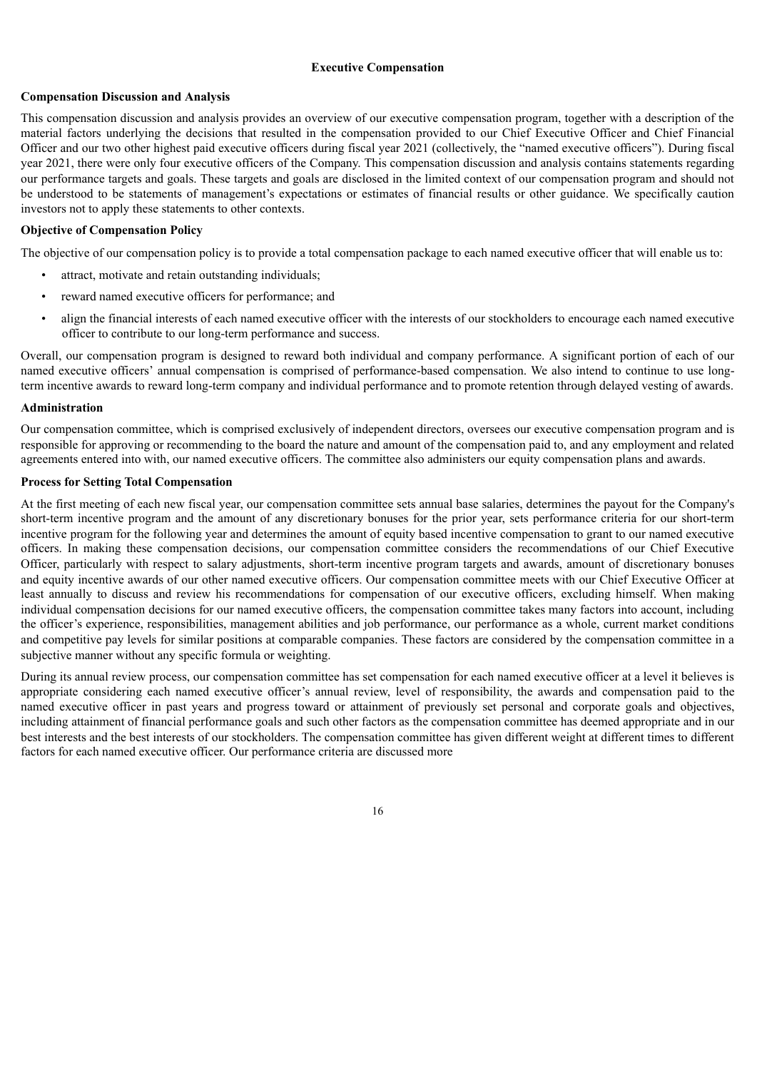#### **Executive Compensation**

## **Compensation Discussion and Analysis**

This compensation discussion and analysis provides an overview of our executive compensation program, together with a description of the material factors underlying the decisions that resulted in the compensation provided to our Chief Executive Officer and Chief Financial Officer and our two other highest paid executive officers during fiscal year 2021 (collectively, the "named executive officers"). During fiscal year 2021, there were only four executive officers of the Company. This compensation discussion and analysis contains statements regarding our performance targets and goals. These targets and goals are disclosed in the limited context of our compensation program and should not be understood to be statements of management's expectations or estimates of financial results or other guidance. We specifically caution investors not to apply these statements to other contexts.

#### **Objective of Compensation Policy**

The objective of our compensation policy is to provide a total compensation package to each named executive officer that will enable us to:

- attract, motivate and retain outstanding individuals;
- reward named executive officers for performance; and
- align the financial interests of each named executive officer with the interests of our stockholders to encourage each named executive officer to contribute to our long-term performance and success.

Overall, our compensation program is designed to reward both individual and company performance. A significant portion of each of our named executive officers' annual compensation is comprised of performance-based compensation. We also intend to continue to use longterm incentive awards to reward long-term company and individual performance and to promote retention through delayed vesting of awards.

#### **Administration**

Our compensation committee, which is comprised exclusively of independent directors, oversees our executive compensation program and is responsible for approving or recommending to the board the nature and amount of the compensation paid to, and any employment and related agreements entered into with, our named executive officers. The committee also administers our equity compensation plans and awards.

#### **Process for Setting Total Compensation**

At the first meeting of each new fiscal year, our compensation committee sets annual base salaries, determines the payout for the Company's short-term incentive program and the amount of any discretionary bonuses for the prior year, sets performance criteria for our short-term incentive program for the following year and determines the amount of equity based incentive compensation to grant to our named executive officers. In making these compensation decisions, our compensation committee considers the recommendations of our Chief Executive Officer, particularly with respect to salary adjustments, short-term incentive program targets and awards, amount of discretionary bonuses and equity incentive awards of our other named executive officers. Our compensation committee meets with our Chief Executive Officer at least annually to discuss and review his recommendations for compensation of our executive officers, excluding himself. When making individual compensation decisions for our named executive officers, the compensation committee takes many factors into account, including the officer's experience, responsibilities, management abilities and job performance, our performance as a whole, current market conditions and competitive pay levels for similar positions at comparable companies. These factors are considered by the compensation committee in a subjective manner without any specific formula or weighting.

During its annual review process, our compensation committee has set compensation for each named executive officer at a level it believes is appropriate considering each named executive officer's annual review, level of responsibility, the awards and compensation paid to the named executive officer in past years and progress toward or attainment of previously set personal and corporate goals and objectives, including attainment of financial performance goals and such other factors as the compensation committee has deemed appropriate and in our best interests and the best interests of our stockholders. The compensation committee has given different weight at different times to different factors for each named executive officer. Our performance criteria are discussed more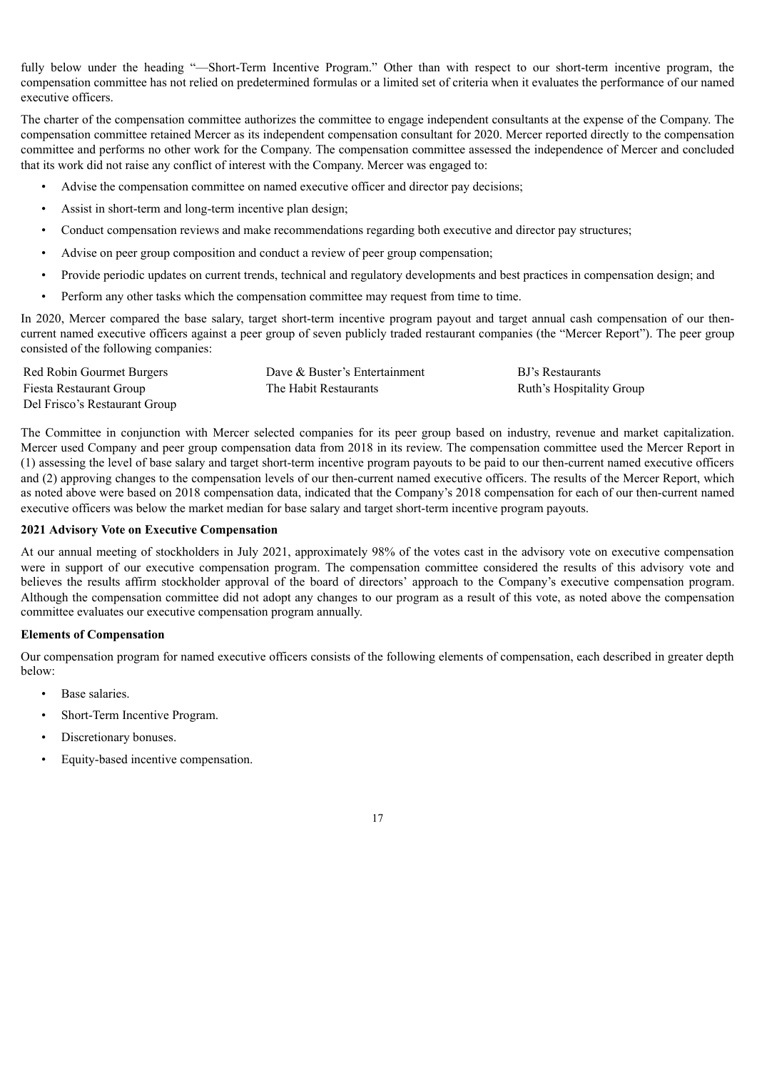fully below under the heading "—Short-Term Incentive Program." Other than with respect to our short-term incentive program, the compensation committee has not relied on predetermined formulas or a limited set of criteria when it evaluates the performance of our named executive officers.

The charter of the compensation committee authorizes the committee to engage independent consultants at the expense of the Company. The compensation committee retained Mercer as its independent compensation consultant for 2020. Mercer reported directly to the compensation committee and performs no other work for the Company. The compensation committee assessed the independence of Mercer and concluded that its work did not raise any conflict of interest with the Company. Mercer was engaged to:

- Advise the compensation committee on named executive officer and director pay decisions;
- Assist in short-term and long-term incentive plan design;
- Conduct compensation reviews and make recommendations regarding both executive and director pay structures;
- Advise on peer group composition and conduct a review of peer group compensation;
- Provide periodic updates on current trends, technical and regulatory developments and best practices in compensation design; and
- Perform any other tasks which the compensation committee may request from time to time.

In 2020, Mercer compared the base salary, target short-term incentive program payout and target annual cash compensation of our thencurrent named executive officers against a peer group of seven publicly traded restaurant companies (the "Mercer Report"). The peer group consisted of the following companies:

| Red Robin Gourmet Burgers     | Dave & Buster's Entertainment | BJ's Restaurants         |
|-------------------------------|-------------------------------|--------------------------|
| Fiesta Restaurant Group       | The Habit Restaurants         | Ruth's Hospitality Group |
| Del Frisco's Restaurant Group |                               |                          |

The Committee in conjunction with Mercer selected companies for its peer group based on industry, revenue and market capitalization. Mercer used Company and peer group compensation data from 2018 in its review. The compensation committee used the Mercer Report in (1) assessing the level of base salary and target short-term incentive program payouts to be paid to our then-current named executive officers and (2) approving changes to the compensation levels of our then-current named executive officers. The results of the Mercer Report, which as noted above were based on 2018 compensation data, indicated that the Company's 2018 compensation for each of our then-current named executive officers was below the market median for base salary and target short-term incentive program payouts.

#### **2021 Advisory Vote on Executive Compensation**

At our annual meeting of stockholders in July 2021, approximately 98% of the votes cast in the advisory vote on executive compensation were in support of our executive compensation program. The compensation committee considered the results of this advisory vote and believes the results affirm stockholder approval of the board of directors' approach to the Company's executive compensation program. Although the compensation committee did not adopt any changes to our program as a result of this vote, as noted above the compensation committee evaluates our executive compensation program annually.

#### **Elements of Compensation**

Our compensation program for named executive officers consists of the following elements of compensation, each described in greater depth below:

- Base salaries.
- Short-Term Incentive Program.
- Discretionary bonuses.
- Equity-based incentive compensation.

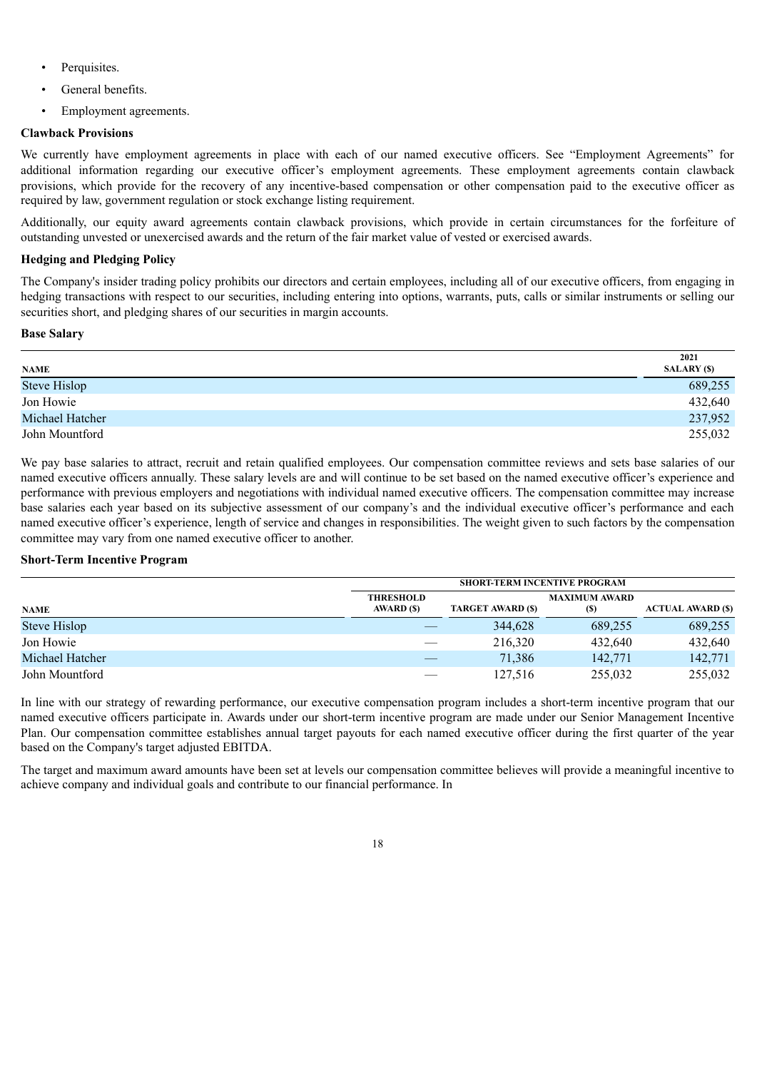- Perquisites.
- General benefits.
- Employment agreements.

## **Clawback Provisions**

We currently have employment agreements in place with each of our named executive officers. See "Employment Agreements" for additional information regarding our executive officer's employment agreements. These employment agreements contain clawback provisions, which provide for the recovery of any incentive-based compensation or other compensation paid to the executive officer as required by law, government regulation or stock exchange listing requirement.

Additionally, our equity award agreements contain clawback provisions, which provide in certain circumstances for the forfeiture of outstanding unvested or unexercised awards and the return of the fair market value of vested or exercised awards.

## **Hedging and Pledging Policy**

The Company's insider trading policy prohibits our directors and certain employees, including all of our executive officers, from engaging in hedging transactions with respect to our securities, including entering into options, warrants, puts, calls or similar instruments or selling our securities short, and pledging shares of our securities in margin accounts.

#### **Base Salary**

| NAME                | 2021<br><b>SALARY</b> (\$) |
|---------------------|----------------------------|
| <b>Steve Hislop</b> | 689,255                    |
| Jon Howie           | 432,640                    |
| Michael Hatcher     | 237,952                    |
| John Mountford      | 255,032                    |

We pay base salaries to attract, recruit and retain qualified employees. Our compensation committee reviews and sets base salaries of our named executive officers annually. These salary levels are and will continue to be set based on the named executive officer's experience and performance with previous employers and negotiations with individual named executive officers. The compensation committee may increase base salaries each year based on its subjective assessment of our company's and the individual executive officer's performance and each named executive officer's experience, length of service and changes in responsibilities. The weight given to such factors by the compensation committee may vary from one named executive officer to another.

## **Short-Term Incentive Program**

|                 | <b>SHORT-TERM INCENTIVE PROGRAM</b>   |                          |                             |                          |
|-----------------|---------------------------------------|--------------------------|-----------------------------|--------------------------|
| <b>NAME</b>     | <b>THRESHOLD</b><br><b>AWARD</b> (\$) | <b>TARGET AWARD (\$)</b> | <b>MAXIMUM AWARD</b><br>(S) | <b>ACTUAL AWARD (\$)</b> |
| Steve Hislop    |                                       | 344,628                  | 689,255                     | 689,255                  |
| Jon Howie       |                                       | 216,320                  | 432.640                     | 432,640                  |
| Michael Hatcher |                                       | 71,386                   | 142,771                     | 142,771                  |
| John Mountford  |                                       | 127,516                  | 255,032                     | 255,032                  |

In line with our strategy of rewarding performance, our executive compensation program includes a short-term incentive program that our named executive officers participate in. Awards under our short-term incentive program are made under our Senior Management Incentive Plan. Our compensation committee establishes annual target payouts for each named executive officer during the first quarter of the year based on the Company's target adjusted EBITDA.

The target and maximum award amounts have been set at levels our compensation committee believes will provide a meaningful incentive to achieve company and individual goals and contribute to our financial performance. In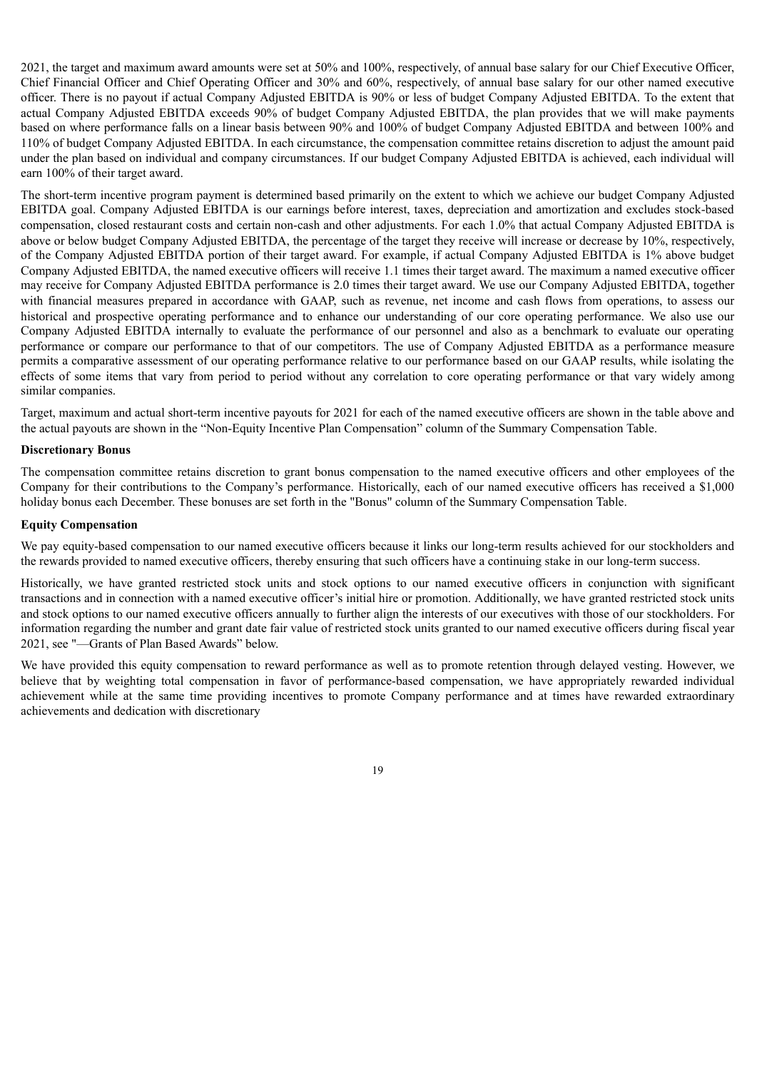2021, the target and maximum award amounts were set at 50% and 100%, respectively, of annual base salary for our Chief Executive Officer, Chief Financial Officer and Chief Operating Officer and 30% and 60%, respectively, of annual base salary for our other named executive officer. There is no payout if actual Company Adjusted EBITDA is 90% or less of budget Company Adjusted EBITDA. To the extent that actual Company Adjusted EBITDA exceeds 90% of budget Company Adjusted EBITDA, the plan provides that we will make payments based on where performance falls on a linear basis between 90% and 100% of budget Company Adjusted EBITDA and between 100% and 110% of budget Company Adjusted EBITDA. In each circumstance, the compensation committee retains discretion to adjust the amount paid under the plan based on individual and company circumstances. If our budget Company Adjusted EBITDA is achieved, each individual will earn 100% of their target award.

The short-term incentive program payment is determined based primarily on the extent to which we achieve our budget Company Adjusted EBITDA goal. Company Adjusted EBITDA is our earnings before interest, taxes, depreciation and amortization and excludes stock-based compensation, closed restaurant costs and certain non-cash and other adjustments. For each 1.0% that actual Company Adjusted EBITDA is above or below budget Company Adjusted EBITDA, the percentage of the target they receive will increase or decrease by 10%, respectively, of the Company Adjusted EBITDA portion of their target award. For example, if actual Company Adjusted EBITDA is 1% above budget Company Adjusted EBITDA, the named executive officers will receive 1.1 times their target award. The maximum a named executive officer may receive for Company Adjusted EBITDA performance is 2.0 times their target award. We use our Company Adjusted EBITDA, together with financial measures prepared in accordance with GAAP, such as revenue, net income and cash flows from operations, to assess our historical and prospective operating performance and to enhance our understanding of our core operating performance. We also use our Company Adjusted EBITDA internally to evaluate the performance of our personnel and also as a benchmark to evaluate our operating performance or compare our performance to that of our competitors. The use of Company Adjusted EBITDA as a performance measure permits a comparative assessment of our operating performance relative to our performance based on our GAAP results, while isolating the effects of some items that vary from period to period without any correlation to core operating performance or that vary widely among similar companies.

Target, maximum and actual short-term incentive payouts for 2021 for each of the named executive officers are shown in the table above and the actual payouts are shown in the "Non-Equity Incentive Plan Compensation" column of the Summary Compensation Table.

#### **Discretionary Bonus**

The compensation committee retains discretion to grant bonus compensation to the named executive officers and other employees of the Company for their contributions to the Company's performance. Historically, each of our named executive officers has received a \$1,000 holiday bonus each December. These bonuses are set forth in the "Bonus" column of the Summary Compensation Table.

## **Equity Compensation**

We pay equity-based compensation to our named executive officers because it links our long-term results achieved for our stockholders and the rewards provided to named executive officers, thereby ensuring that such officers have a continuing stake in our long-term success.

Historically, we have granted restricted stock units and stock options to our named executive officers in conjunction with significant transactions and in connection with a named executive officer's initial hire or promotion. Additionally, we have granted restricted stock units and stock options to our named executive officers annually to further align the interests of our executives with those of our stockholders. For information regarding the number and grant date fair value of restricted stock units granted to our named executive officers during fiscal year 2021, see "—Grants of Plan Based Awards" below.

We have provided this equity compensation to reward performance as well as to promote retention through delayed vesting. However, we believe that by weighting total compensation in favor of performance-based compensation, we have appropriately rewarded individual achievement while at the same time providing incentives to promote Company performance and at times have rewarded extraordinary achievements and dedication with discretionary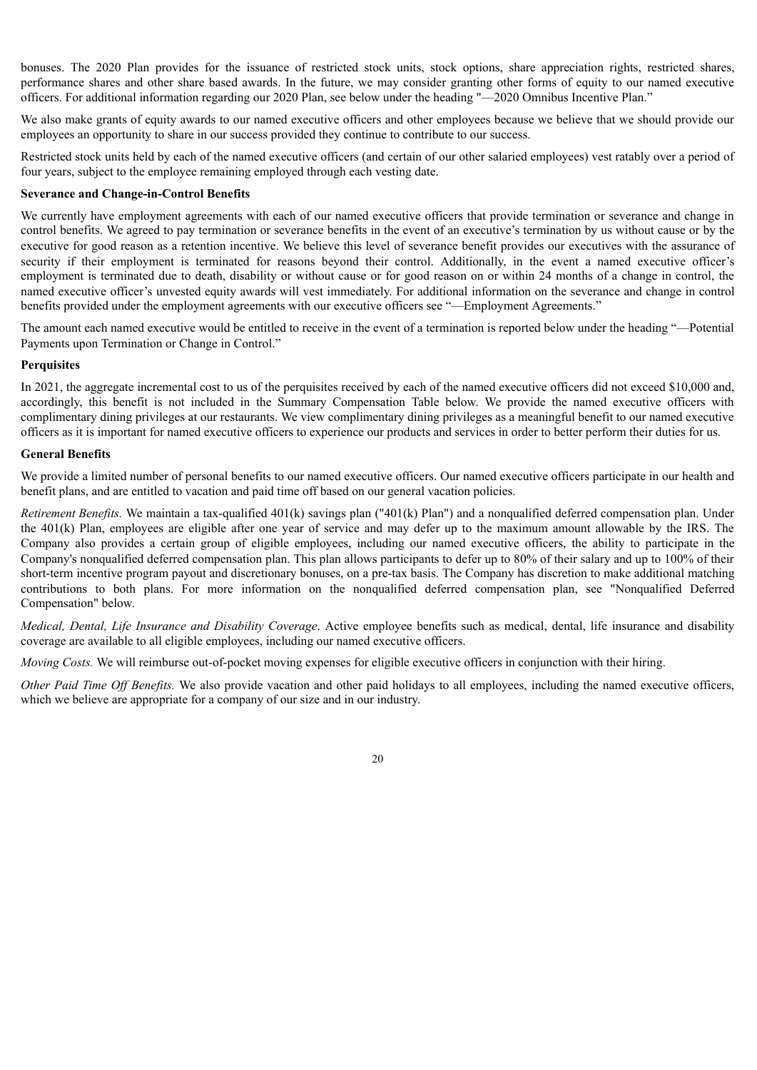bonuses. The 2020 Plan provides for the issuance of restricted stock units, stock options, share appreciation rights, restricted shares, performance shares and other share based awards. In the future, we may consider granting other forms of equity to our named executive officers. For additional information regarding our 2020 Plan, see below under the heading "—2020 Omnibus Incentive Plan."

We also make grants of equity awards to our named executive officers and other employees because we believe that we should provide our employees an opportunity to share in our success provided they continue to contribute to our success.

Restricted stock units held by each of the named executive officers (and certain of our other salaried employees) vest ratably over a period of four years, subject to the employee remaining employed through each vesting date.

#### **Severance and Change-in-Control Benefits**

We currently have employment agreements with each of our named executive officers that provide termination or severance and change in control benefits. We agreed to pay termination or severance benefits in the event of an executive's termination by us without cause or by the executive for good reason as a retention incentive. We believe this level of severance benefit provides our executives with the assurance of security if their employment is terminated for reasons beyond their control. Additionally, in the event a named executive officer's employment is terminated due to death, disability or without cause or for good reason on or within 24 months of a change in control, the named executive officer's unvested equity awards will vest immediately. For additional information on the severance and change in control benefits provided under the employment agreements with our executive officers see "—Employment Agreements."

The amount each named executive would be entitled to receive in the event of a termination is reported below under the heading "—Potential Payments upon Termination or Change in Control."

#### **Perquisites**

In 2021, the aggregate incremental cost to us of the perquisites received by each of the named executive officers did not exceed \$10,000 and, accordingly, this benefit is not included in the Summary Compensation Table below. We provide the named executive officers with complimentary dining privileges at our restaurants. We view complimentary dining privileges as a meaningful benefit to our named executive officers as it is important for named executive officers to experience our products and services in order to better perform their duties for us.

#### **General Benefits**

We provide a limited number of personal benefits to our named executive officers. Our named executive officers participate in our health and benefit plans, and are entitled to vacation and paid time off based on our general vacation policies.

*Retirement Benefits.* We maintain a tax-qualified 401(k) savings plan ("401(k) Plan") and a nonqualified deferred compensation plan. Under the 401(k) Plan, employees are eligible after one year of service and may defer up to the maximum amount allowable by the IRS. The Company also provides a certain group of eligible employees, including our named executive officers, the ability to participate in the Company's nonqualified deferred compensation plan. This plan allows participants to defer up to 80% of their salary and up to 100% of their short-term incentive program payout and discretionary bonuses, on a pre-tax basis. The Company has discretion to make additional matching contributions to both plans. For more information on the nonqualified deferred compensation plan, see "Nonqualified Deferred Compensation" below.

*Medical, Dental, Life Insurance and Disability Coverage*. Active employee benefits such as medical, dental, life insurance and disability coverage are available to all eligible employees, including our named executive officers.

*Moving Costs.* We will reimburse out-of-pocket moving expenses for eligible executive officers in conjunction with their hiring.

*Other Paid Time Of Benefits.* We also provide vacation and other paid holidays to all employees, including the named executive officers, which we believe are appropriate for a company of our size and in our industry.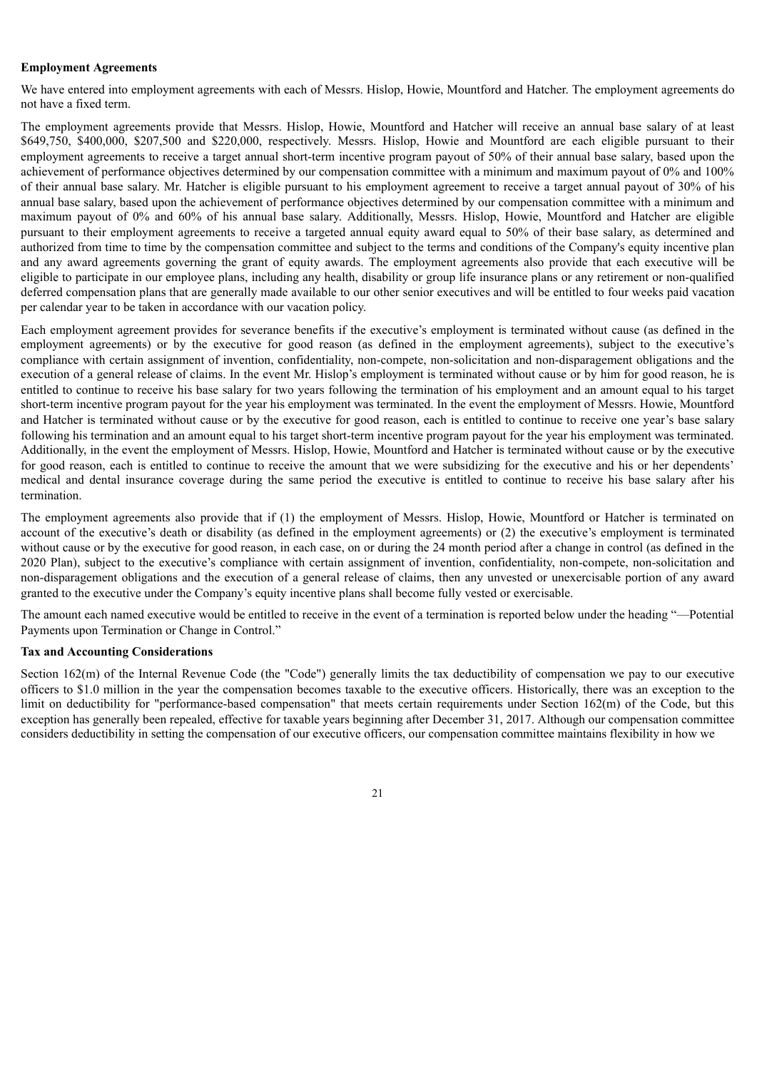#### **Employment Agreements**

We have entered into employment agreements with each of Messrs. Hislop, Howie, Mountford and Hatcher. The employment agreements do not have a fixed term.

The employment agreements provide that Messrs. Hislop, Howie, Mountford and Hatcher will receive an annual base salary of at least \$649,750, \$400,000, \$207,500 and \$220,000, respectively. Messrs. Hislop, Howie and Mountford are each eligible pursuant to their employment agreements to receive a target annual short-term incentive program payout of 50% of their annual base salary, based upon the achievement of performance objectives determined by our compensation committee with a minimum and maximum payout of 0% and 100% of their annual base salary. Mr. Hatcher is eligible pursuant to his employment agreement to receive a target annual payout of 30% of his annual base salary, based upon the achievement of performance objectives determined by our compensation committee with a minimum and maximum payout of 0% and 60% of his annual base salary. Additionally, Messrs. Hislop, Howie, Mountford and Hatcher are eligible pursuant to their employment agreements to receive a targeted annual equity award equal to 50% of their base salary, as determined and authorized from time to time by the compensation committee and subject to the terms and conditions of the Company's equity incentive plan and any award agreements governing the grant of equity awards. The employment agreements also provide that each executive will be eligible to participate in our employee plans, including any health, disability or group life insurance plans or any retirement or non-qualified deferred compensation plans that are generally made available to our other senior executives and will be entitled to four weeks paid vacation per calendar year to be taken in accordance with our vacation policy.

Each employment agreement provides for severance benefits if the executive's employment is terminated without cause (as defined in the employment agreements) or by the executive for good reason (as defined in the employment agreements), subject to the executive's compliance with certain assignment of invention, confidentiality, non-compete, non-solicitation and non-disparagement obligations and the execution of a general release of claims. In the event Mr. Hislop's employment is terminated without cause or by him for good reason, he is entitled to continue to receive his base salary for two years following the termination of his employment and an amount equal to his target short-term incentive program payout for the year his employment was terminated. In the event the employment of Messrs. Howie, Mountford and Hatcher is terminated without cause or by the executive for good reason, each is entitled to continue to receive one year's base salary following his termination and an amount equal to his target short-term incentive program payout for the year his employment was terminated. Additionally, in the event the employment of Messrs. Hislop, Howie, Mountford and Hatcher is terminated without cause or by the executive for good reason, each is entitled to continue to receive the amount that we were subsidizing for the executive and his or her dependents' medical and dental insurance coverage during the same period the executive is entitled to continue to receive his base salary after his termination.

The employment agreements also provide that if (1) the employment of Messrs. Hislop, Howie, Mountford or Hatcher is terminated on account of the executive's death or disability (as defined in the employment agreements) or (2) the executive's employment is terminated without cause or by the executive for good reason, in each case, on or during the 24 month period after a change in control (as defined in the 2020 Plan), subject to the executive's compliance with certain assignment of invention, confidentiality, non-compete, non-solicitation and non-disparagement obligations and the execution of a general release of claims, then any unvested or unexercisable portion of any award granted to the executive under the Company's equity incentive plans shall become fully vested or exercisable.

The amount each named executive would be entitled to receive in the event of a termination is reported below under the heading "—Potential Payments upon Termination or Change in Control."

#### **Tax and Accounting Considerations**

Section 162(m) of the Internal Revenue Code (the "Code") generally limits the tax deductibility of compensation we pay to our executive officers to \$1.0 million in the year the compensation becomes taxable to the executive officers. Historically, there was an exception to the limit on deductibility for "performance-based compensation" that meets certain requirements under Section 162(m) of the Code, but this exception has generally been repealed, effective for taxable years beginning after December 31, 2017. Although our compensation committee considers deductibility in setting the compensation of our executive officers, our compensation committee maintains flexibility in how we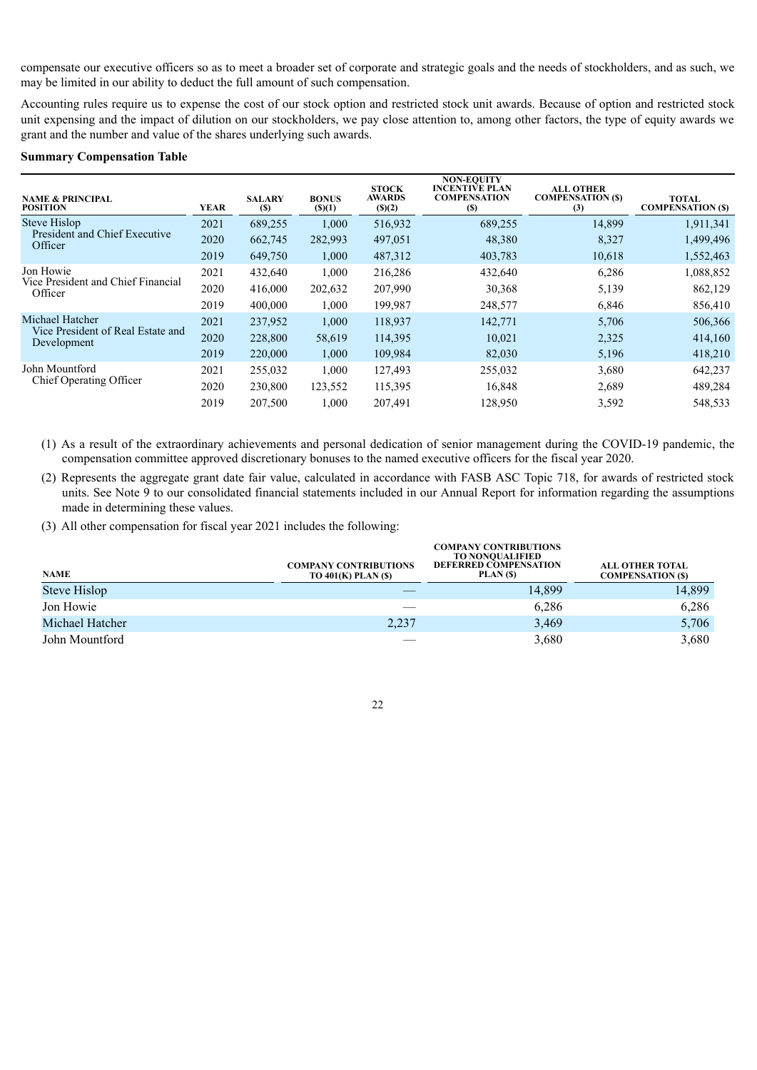compensate our executive officers so as to meet a broader set of corporate and strategic goals and the needs of stockholders, and as such, we may be limited in our ability to deduct the full amount of such compensation.

Accounting rules require us to expense the cost of our stock option and restricted stock unit awards. Because of option and restricted stock unit expensing and the impact of dilution on our stockholders, we pay close attention to, among other factors, the type of equity awards we grant and the number and value of the shares underlying such awards.

#### **Summary Compensation Table**

| <b>NAME &amp; PRINCIPAL</b><br><b>POSITION</b>   | <b>YEAR</b> | <b>SALARY</b><br>(S) | <b>BONUS</b><br>(S)(1) | <b>STOCK</b><br><b>AWARDS</b><br>$($ ) $(2)$ | <b>NON-EQUITY</b><br><b>INCENTIVE PLAN</b><br><b>COMPENSATION</b><br>$(S)$ | <b>ALL OTHER</b><br><b>COMPENSATION (\$)</b><br>(3) | <b>TOTAL</b><br><b>COMPENSATION (\$)</b> |
|--------------------------------------------------|-------------|----------------------|------------------------|----------------------------------------------|----------------------------------------------------------------------------|-----------------------------------------------------|------------------------------------------|
| <b>Steve Hislop</b>                              | 2021        | 689,255              | 1,000                  | 516,932                                      | 689,255                                                                    | 14,899                                              | 1,911,341                                |
| President and Chief Executive<br>Officer         | 2020        | 662,745              | 282,993                | 497,051                                      | 48,380                                                                     | 8,327                                               | 1,499,496                                |
|                                                  | 2019        | 649,750              | 1,000                  | 487,312                                      | 403,783                                                                    | 10,618                                              | 1,552,463                                |
| Jon Howie                                        | 2021        | 432,640              | 1,000                  | 216,286                                      | 432,640                                                                    | 6,286                                               | 1,088,852                                |
| Vice President and Chief Financial<br>Officer    | 2020        | 416,000              | 202,632                | 207,990                                      | 30,368                                                                     | 5,139                                               | 862,129                                  |
|                                                  | 2019        | 400,000              | 1,000                  | 199,987                                      | 248,577                                                                    | 6,846                                               | 856,410                                  |
| Michael Hatcher                                  | 2021        | 237,952              | 1,000                  | 118,937                                      | 142,771                                                                    | 5,706                                               | 506,366                                  |
| Vice President of Real Estate and<br>Development | 2020        | 228,800              | 58,619                 | 114,395                                      | 10,021                                                                     | 2,325                                               | 414,160                                  |
|                                                  | 2019        | 220,000              | 1,000                  | 109,984                                      | 82,030                                                                     | 5,196                                               | 418,210                                  |
| John Mountford<br>Chief Operating Officer        | 2021        | 255,032              | 1,000                  | 127,493                                      | 255,032                                                                    | 3,680                                               | 642,237                                  |
|                                                  | 2020        | 230,800              | 123,552                | 115,395                                      | 16,848                                                                     | 2,689                                               | 489,284                                  |
|                                                  | 2019        | 207,500              | 1,000                  | 207,491                                      | 128,950                                                                    | 3,592                                               | 548,533                                  |

(1) As a result of the extraordinary achievements and personal dedication of senior management during the COVID-19 pandemic, the compensation committee approved discretionary bonuses to the named executive officers for the fiscal year 2020.

(2) Represents the aggregate grant date fair value, calculated in accordance with FASB ASC Topic 718, for awards of restricted stock units. See Note 9 to our consolidated financial statements included in our Annual Report for information regarding the assumptions made in determining these values.

(3) All other compensation for fiscal year 2021 includes the following:

| <b>NAME</b>         | <b>COMPANY CONTRIBUTIONS</b><br><b>TO 401(K) PLAN (\$)</b> | <b>COMPANY CONTRIBUTIONS</b><br><b>TO NONOUALIFIED</b><br><b>DEFERRED COMPENSATION</b><br>PLAN(\$) | <b>ALL OTHER TOTAL</b><br><b>COMPENSATION (\$)</b> |
|---------------------|------------------------------------------------------------|----------------------------------------------------------------------------------------------------|----------------------------------------------------|
| <b>Steve Hislop</b> |                                                            | 14,899                                                                                             | 14,899                                             |
| Jon Howie           |                                                            | 6,286                                                                                              | 6,286                                              |
| Michael Hatcher     | 2,237                                                      | 3,469                                                                                              | 5,706                                              |
| John Mountford      |                                                            | 3,680                                                                                              | 3,680                                              |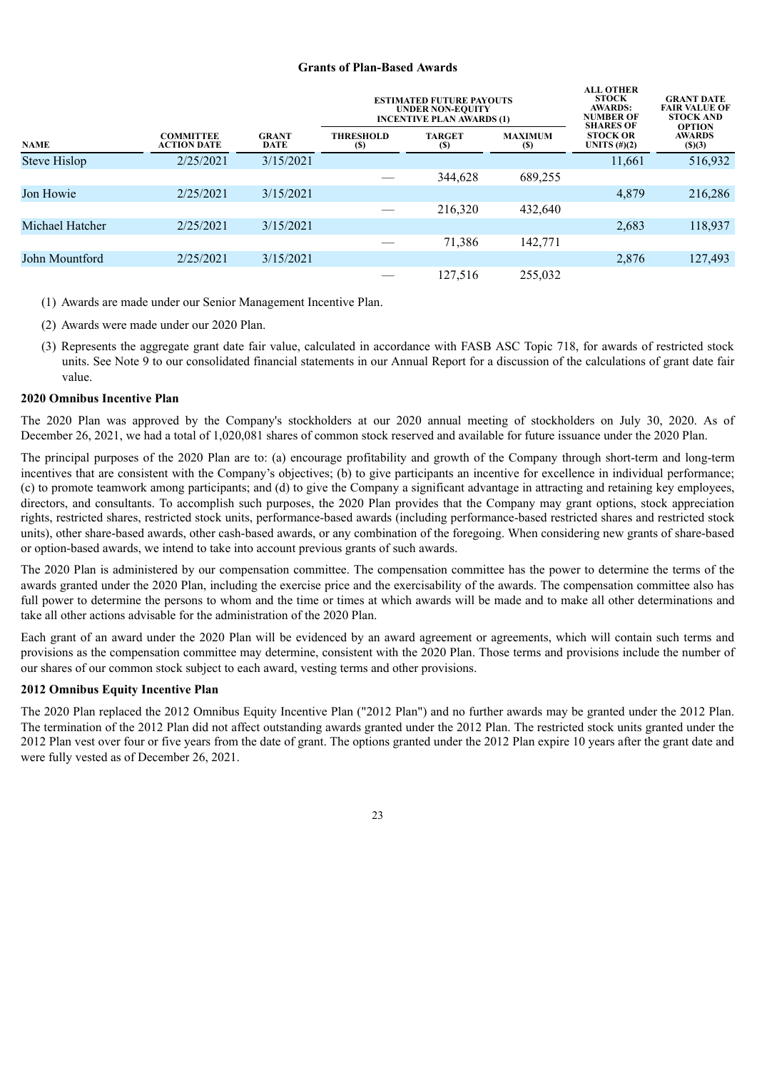#### **Grants of Plan-Based Awards**

**ALL OTHER**

|                 |                                        |                             | <b>ESTIMATED FUTURE PAYOUTS</b><br><b>UNDER NON-EQUITY</b><br><b>INCENTIVE PLAN AWARDS (1)</b> |                             |                       | ALL UTHER<br><b>STOCK</b><br><b>AWARDS:</b><br><b>NUMBER OF</b><br><b>SHARES OF</b> | <b>GRANT DATE</b><br><b>FAIR VALUE OF</b><br><b>STOCK AND</b><br><b>OPTION</b> |
|-----------------|----------------------------------------|-----------------------------|------------------------------------------------------------------------------------------------|-----------------------------|-----------------------|-------------------------------------------------------------------------------------|--------------------------------------------------------------------------------|
| <b>NAME</b>     | <b>COMMITTEE</b><br><b>ACTION DATE</b> | <b>GRANT</b><br><b>DATE</b> | <b>THRESHOLD</b><br><b>(S)</b>                                                                 | <b>TARGET</b><br><b>(S)</b> | <b>MAXIMUM</b><br>(S) | <b>STOCK OR</b><br>UNITS $(\#)(2)$                                                  | <b>AWARDS</b><br>(S)(3)                                                        |
| Steve Hislop    | 2/25/2021                              | 3/15/2021                   |                                                                                                |                             |                       | 11,661                                                                              | 516,932                                                                        |
|                 |                                        |                             |                                                                                                | 344,628                     | 689,255               |                                                                                     |                                                                                |
| Jon Howie       | 2/25/2021                              | 3/15/2021                   |                                                                                                |                             |                       | 4,879                                                                               | 216,286                                                                        |
|                 |                                        |                             |                                                                                                | 216,320                     | 432,640               |                                                                                     |                                                                                |
| Michael Hatcher | 2/25/2021                              | 3/15/2021                   |                                                                                                |                             |                       | 2,683                                                                               | 118,937                                                                        |
|                 |                                        |                             |                                                                                                | 71,386                      | 142,771               |                                                                                     |                                                                                |
| John Mountford  | 2/25/2021                              | 3/15/2021                   |                                                                                                |                             |                       | 2,876                                                                               | 127,493                                                                        |
|                 |                                        |                             |                                                                                                | 127,516                     | 255,032               |                                                                                     |                                                                                |

- (1) Awards are made under our Senior Management Incentive Plan.
- (2) Awards were made under our 2020 Plan.
- (3) Represents the aggregate grant date fair value, calculated in accordance with FASB ASC Topic 718, for awards of restricted stock units. See Note 9 to our consolidated financial statements in our Annual Report for a discussion of the calculations of grant date fair value.

#### **2020 Omnibus Incentive Plan**

The 2020 Plan was approved by the Company's stockholders at our 2020 annual meeting of stockholders on July 30, 2020. As of December 26, 2021, we had a total of 1,020,081 shares of common stock reserved and available for future issuance under the 2020 Plan.

The principal purposes of the 2020 Plan are to: (a) encourage profitability and growth of the Company through short-term and long-term incentives that are consistent with the Company's objectives; (b) to give participants an incentive for excellence in individual performance; (c) to promote teamwork among participants; and (d) to give the Company a significant advantage in attracting and retaining key employees, directors, and consultants. To accomplish such purposes, the 2020 Plan provides that the Company may grant options, stock appreciation rights, restricted shares, restricted stock units, performance-based awards (including performance-based restricted shares and restricted stock units), other share-based awards, other cash-based awards, or any combination of the foregoing. When considering new grants of share-based or option-based awards, we intend to take into account previous grants of such awards.

The 2020 Plan is administered by our compensation committee. The compensation committee has the power to determine the terms of the awards granted under the 2020 Plan, including the exercise price and the exercisability of the awards. The compensation committee also has full power to determine the persons to whom and the time or times at which awards will be made and to make all other determinations and take all other actions advisable for the administration of the 2020 Plan.

Each grant of an award under the 2020 Plan will be evidenced by an award agreement or agreements, which will contain such terms and provisions as the compensation committee may determine, consistent with the 2020 Plan. Those terms and provisions include the number of our shares of our common stock subject to each award, vesting terms and other provisions.

## **2012 Omnibus Equity Incentive Plan**

The 2020 Plan replaced the 2012 Omnibus Equity Incentive Plan ("2012 Plan") and no further awards may be granted under the 2012 Plan. The termination of the 2012 Plan did not affect outstanding awards granted under the 2012 Plan. The restricted stock units granted under the 2012 Plan vest over four or five years from the date of grant. The options granted under the 2012 Plan expire 10 years after the grant date and were fully vested as of December 26, 2021.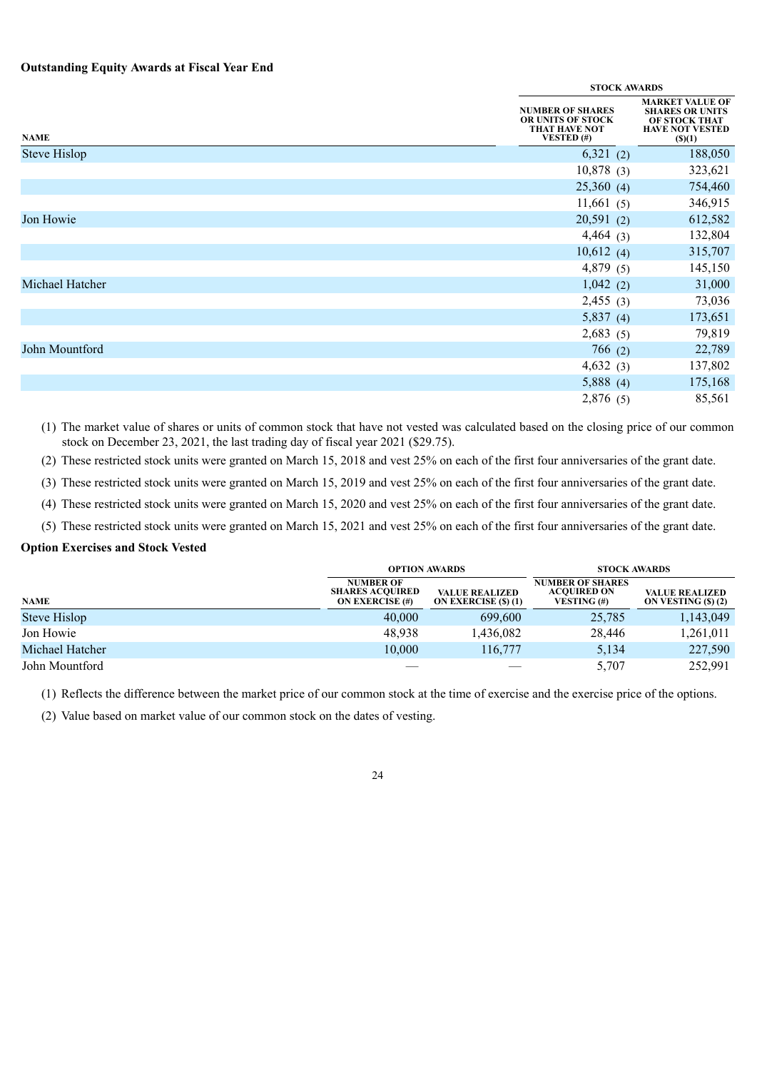#### **Outstanding Equity Awards at Fiscal Year End**

|                     | <b>STOCK AWARDS</b>                                                                       |                                                                                                            |
|---------------------|-------------------------------------------------------------------------------------------|------------------------------------------------------------------------------------------------------------|
| <b>NAME</b>         | <b>NUMBER OF SHARES</b><br>OR UNITS OF STOCK<br><b>THAT HAVE NOT</b><br><b>VESTED</b> (#) | <b>MARKET VALUE OF</b><br><b>SHARES OR UNITS</b><br>OF STOCK THAT<br><b>HAVE NOT VESTED</b><br>$($ (\$)(1) |
| <b>Steve Hislop</b> | 6,321(2)                                                                                  | 188,050                                                                                                    |
|                     | 10,878(3)                                                                                 | 323,621                                                                                                    |
|                     | 25,360(4)                                                                                 | 754,460                                                                                                    |
|                     | 11,661(5)                                                                                 | 346,915                                                                                                    |
| Jon Howie           | 20,591(2)                                                                                 | 612,582                                                                                                    |
|                     | $4,464$ (3)                                                                               | 132,804                                                                                                    |
|                     | 10,612(4)                                                                                 | 315,707                                                                                                    |
|                     | 4,879(5)                                                                                  | 145,150                                                                                                    |
| Michael Hatcher     | 1,042(2)                                                                                  | 31,000                                                                                                     |
|                     | $2,455$ (3)                                                                               | 73,036                                                                                                     |
|                     | 5,837(4)                                                                                  | 173,651                                                                                                    |
|                     | 2,683(5)                                                                                  | 79,819                                                                                                     |
| John Mountford      | 766(2)                                                                                    | 22,789                                                                                                     |
|                     | 4,632(3)                                                                                  | 137,802                                                                                                    |
|                     | 5,888(4)                                                                                  | 175,168                                                                                                    |
|                     | 2,876(5)                                                                                  | 85,561                                                                                                     |

(1) The market value of shares or units of common stock that have not vested was calculated based on the closing price of our common stock on December 23, 2021, the last trading day of fiscal year 2021 (\$29.75).

(2) These restricted stock units were granted on March 15, 2018 and vest 25% on each of the first four anniversaries of the grant date.

(3) These restricted stock units were granted on March 15, 2019 and vest 25% on each of the first four anniversaries of the grant date.

(4) These restricted stock units were granted on March 15, 2020 and vest 25% on each of the first four anniversaries of the grant date.

(5) These restricted stock units were granted on March 15, 2021 and vest 25% on each of the first four anniversaries of the grant date.

## **Option Exercises and Stock Vested**

|                     |                                                                      | <b>OPTION AWARDS</b>                                 |                                                              | <b>STOCK AWARDS</b>                          |
|---------------------|----------------------------------------------------------------------|------------------------------------------------------|--------------------------------------------------------------|----------------------------------------------|
| <b>NAME</b>         | <b>NUMBER OF</b><br><b>SHARES ACOUIRED</b><br><b>ON EXERCISE</b> (#) | <b>VALUE REALIZED</b><br><b>ON EXERCISE</b> (\$) (1) | <b>NUMBER OF SHARES</b><br><b>ACOUIRED ON</b><br>VESTING (#) | <b>VALUE REALIZED</b><br>ON VESTING (\$) (2) |
| <b>Steve Hislop</b> | 40,000                                                               | 699,600                                              | 25,785                                                       | 1,143,049                                    |
| Jon Howie           | 48,938                                                               | 436,082                                              | 28,446                                                       | 1,261,011                                    |
| Michael Hatcher     | 10,000                                                               | 116,777                                              | 5,134                                                        | 227,590                                      |
| John Mountford      |                                                                      |                                                      | 5,707                                                        | 252.991                                      |

(1) Reflects the difference between the market price of our common stock at the time of exercise and the exercise price of the options.

(2) Value based on market value of our common stock on the dates of vesting.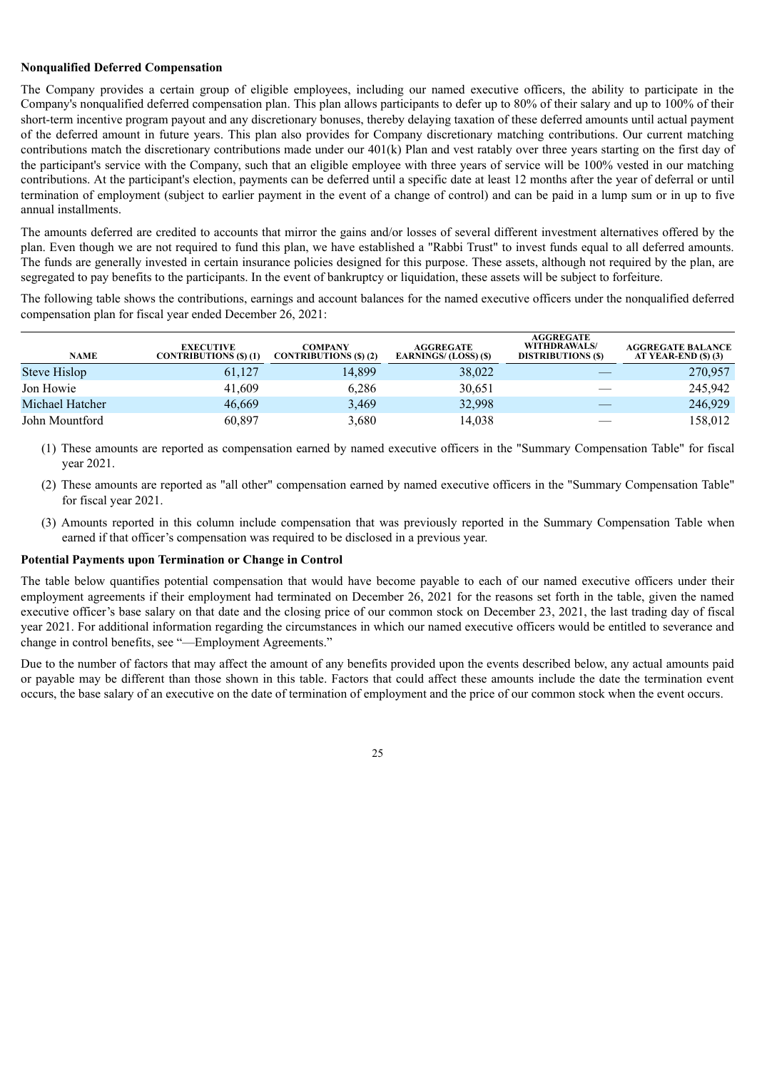#### **Nonqualified Deferred Compensation**

The Company provides a certain group of eligible employees, including our named executive officers, the ability to participate in the Company's nonqualified deferred compensation plan. This plan allows participants to defer up to 80% of their salary and up to 100% of their short-term incentive program payout and any discretionary bonuses, thereby delaying taxation of these deferred amounts until actual payment of the deferred amount in future years. This plan also provides for Company discretionary matching contributions. Our current matching contributions match the discretionary contributions made under our 401(k) Plan and vest ratably over three years starting on the first day of the participant's service with the Company, such that an eligible employee with three years of service will be 100% vested in our matching contributions. At the participant's election, payments can be deferred until a specific date at least 12 months after the year of deferral or until termination of employment (subject to earlier payment in the event of a change of control) and can be paid in a lump sum or in up to five annual installments.

The amounts deferred are credited to accounts that mirror the gains and/or losses of several different investment alternatives offered by the plan. Even though we are not required to fund this plan, we have established a "Rabbi Trust" to invest funds equal to all deferred amounts. The funds are generally invested in certain insurance policies designed for this purpose. These assets, although not required by the plan, are segregated to pay benefits to the participants. In the event of bankruptcy or liquidation, these assets will be subject to forfeiture.

The following table shows the contributions, earnings and account balances for the named executive officers under the nonqualified deferred compensation plan for fiscal year ended December 26, 2021:

| <b>NAME</b>     | <b>EXECUTIVE</b><br><b>CONTRIBUTIONS (\$) (1)</b> | <b>COMPANY</b><br><b>CONTRIBUTIONS (\$) (2)</b> | <b>AGGREGATE</b><br><b>EARNINGS/(LOSS)(\$)</b> | <b>AGGREGATE</b><br>WITHDRAWALS/<br><b>DISTRIBUTIONS</b> (\$) | <b>AGGREGATE BALANCE</b><br>AT YEAR-END $(S)$ $(3)$ |
|-----------------|---------------------------------------------------|-------------------------------------------------|------------------------------------------------|---------------------------------------------------------------|-----------------------------------------------------|
| Steve Hislop    | 61,127                                            | 14.899                                          | 38,022                                         |                                                               | 270,957                                             |
| Jon Howie       | 41.609                                            | 6,286                                           | 30,651                                         |                                                               | 245,942                                             |
| Michael Hatcher | 46.669                                            | 3,469                                           | 32,998                                         |                                                               | 246,929                                             |
| John Mountford  | 60,897                                            | 3,680                                           | 14,038                                         |                                                               | 158,012                                             |

- (1) These amounts are reported as compensation earned by named executive officers in the "Summary Compensation Table" for fiscal year 2021.
- (2) These amounts are reported as "all other" compensation earned by named executive officers in the "Summary Compensation Table" for fiscal year 2021.
- (3) Amounts reported in this column include compensation that was previously reported in the Summary Compensation Table when earned if that officer's compensation was required to be disclosed in a previous year.

#### **Potential Payments upon Termination or Change in Control**

The table below quantifies potential compensation that would have become payable to each of our named executive officers under their employment agreements if their employment had terminated on December 26, 2021 for the reasons set forth in the table, given the named executive officer's base salary on that date and the closing price of our common stock on December 23, 2021, the last trading day of fiscal year 2021. For additional information regarding the circumstances in which our named executive officers would be entitled to severance and change in control benefits, see "—Employment Agreements."

Due to the number of factors that may affect the amount of any benefits provided upon the events described below, any actual amounts paid or payable may be different than those shown in this table. Factors that could affect these amounts include the date the termination event occurs, the base salary of an executive on the date of termination of employment and the price of our common stock when the event occurs.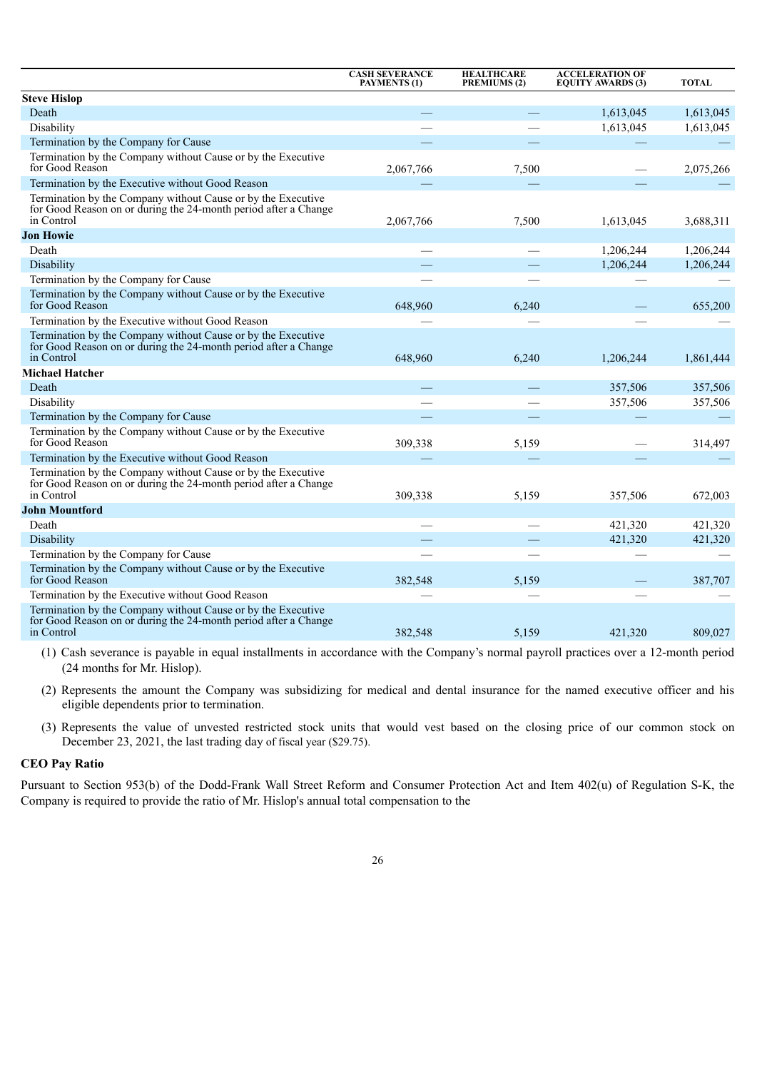|                                                                                                                                               | <b>CASH SEVERANCE</b><br>PAYMENTS (1) | <b>HEALTHCARE</b><br><b>PREMIUMS (2)</b> | <b>ACCELERATION OF</b><br><b>EQUITY AWARDS (3)</b> | <b>TOTAL</b> |
|-----------------------------------------------------------------------------------------------------------------------------------------------|---------------------------------------|------------------------------------------|----------------------------------------------------|--------------|
| <b>Steve Hislop</b>                                                                                                                           |                                       |                                          |                                                    |              |
| Death                                                                                                                                         |                                       |                                          | 1,613,045                                          | 1,613,045    |
| Disability                                                                                                                                    |                                       |                                          | 1,613,045                                          | 1,613,045    |
| Termination by the Company for Cause                                                                                                          |                                       |                                          |                                                    |              |
| Termination by the Company without Cause or by the Executive<br>for Good Reason                                                               | 2,067,766                             | 7,500                                    |                                                    | 2,075,266    |
| Termination by the Executive without Good Reason                                                                                              |                                       |                                          |                                                    |              |
| Termination by the Company without Cause or by the Executive<br>for Good Reason on or during the 24-month period after a Change<br>in Control | 2,067,766                             | 7,500                                    | 1,613,045                                          | 3,688,311    |
| <b>Jon Howie</b>                                                                                                                              |                                       |                                          |                                                    |              |
| Death                                                                                                                                         |                                       |                                          | 1,206,244                                          | 1,206,244    |
| Disability                                                                                                                                    |                                       |                                          | 1,206,244                                          | 1,206,244    |
| Termination by the Company for Cause                                                                                                          |                                       |                                          |                                                    |              |
| Termination by the Company without Cause or by the Executive<br>for Good Reason                                                               | 648,960                               | 6,240                                    |                                                    | 655,200      |
| Termination by the Executive without Good Reason                                                                                              |                                       |                                          |                                                    |              |
| Termination by the Company without Cause or by the Executive<br>for Good Reason on or during the 24-month period after a Change<br>in Control | 648,960                               | 6,240                                    | 1,206,244                                          | 1,861,444    |
| <b>Michael Hatcher</b>                                                                                                                        |                                       |                                          |                                                    |              |
| Death                                                                                                                                         |                                       |                                          | 357,506                                            | 357,506      |
| Disability                                                                                                                                    |                                       |                                          | 357,506                                            | 357,506      |
| Termination by the Company for Cause                                                                                                          |                                       |                                          |                                                    |              |
| Termination by the Company without Cause or by the Executive<br>for Good Reason                                                               | 309,338                               | 5,159                                    |                                                    | 314,497      |
| Termination by the Executive without Good Reason                                                                                              |                                       |                                          |                                                    |              |
| Termination by the Company without Cause or by the Executive<br>for Good Reason on or during the 24-month period after a Change<br>in Control | 309,338                               | 5,159                                    | 357,506                                            | 672,003      |
| <b>John Mountford</b>                                                                                                                         |                                       |                                          |                                                    |              |
| Death                                                                                                                                         |                                       |                                          | 421,320                                            | 421,320      |
| Disability                                                                                                                                    |                                       |                                          | 421,320                                            | 421,320      |
| Termination by the Company for Cause                                                                                                          |                                       |                                          |                                                    |              |
| Termination by the Company without Cause or by the Executive<br>for Good Reason                                                               | 382,548                               | 5,159                                    |                                                    | 387,707      |
| Termination by the Executive without Good Reason                                                                                              |                                       |                                          |                                                    |              |
| Termination by the Company without Cause or by the Executive<br>for Good Reason on or during the 24-month period after a Change<br>in Control | 382.548                               | 5.159                                    | 421.320                                            | 809.027      |

(1) Cash severance is payable in equal installments in accordance with the Company's normal payroll practices over a 12-month period (24 months for Mr. Hislop).

(2) Represents the amount the Company was subsidizing for medical and dental insurance for the named executive officer and his eligible dependents prior to termination.

(3) Represents the value of unvested restricted stock units that would vest based on the closing price of our common stock on December 23, 2021, the last trading day of fiscal year (\$29.75).

## **CEO Pay Ratio**

Pursuant to Section 953(b) of the Dodd-Frank Wall Street Reform and Consumer Protection Act and Item 402(u) of Regulation S-K, the Company is required to provide the ratio of Mr. Hislop's annual total compensation to the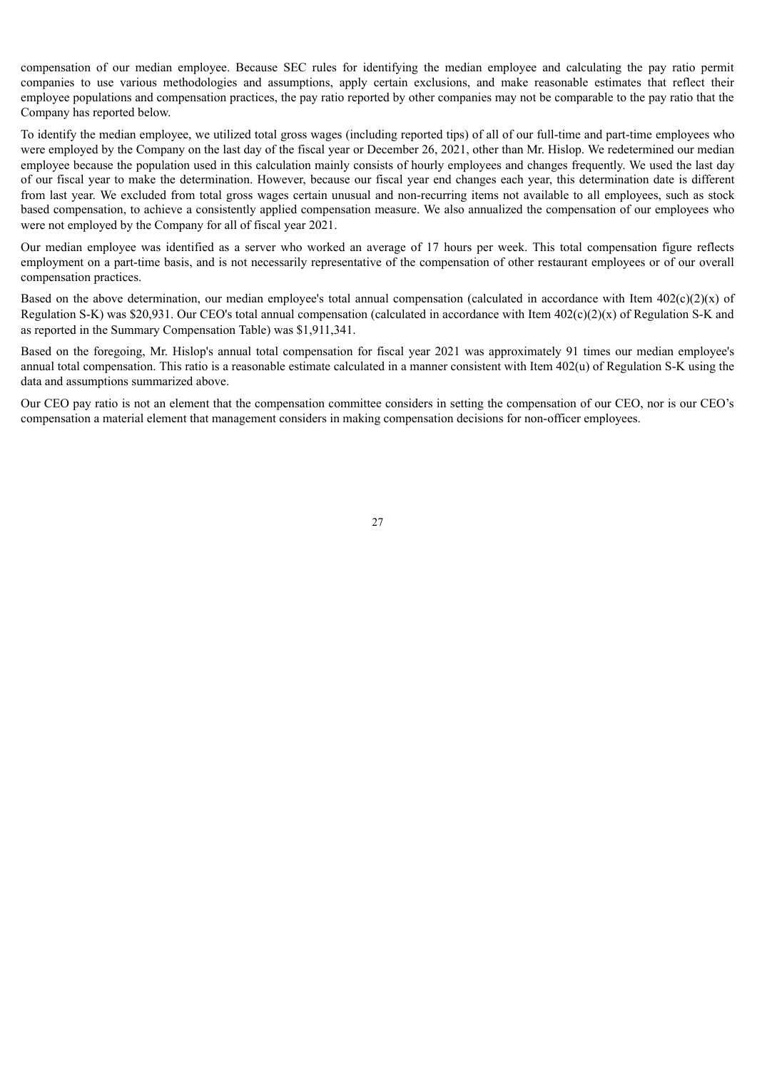compensation of our median employee. Because SEC rules for identifying the median employee and calculating the pay ratio permit companies to use various methodologies and assumptions, apply certain exclusions, and make reasonable estimates that reflect their employee populations and compensation practices, the pay ratio reported by other companies may not be comparable to the pay ratio that the Company has reported below.

To identify the median employee, we utilized total gross wages (including reported tips) of all of our full-time and part-time employees who were employed by the Company on the last day of the fiscal year or December 26, 2021, other than Mr. Hislop. We redetermined our median employee because the population used in this calculation mainly consists of hourly employees and changes frequently. We used the last day of our fiscal year to make the determination. However, because our fiscal year end changes each year, this determination date is different from last year. We excluded from total gross wages certain unusual and non-recurring items not available to all employees, such as stock based compensation, to achieve a consistently applied compensation measure. We also annualized the compensation of our employees who were not employed by the Company for all of fiscal year 2021.

Our median employee was identified as a server who worked an average of 17 hours per week. This total compensation figure reflects employment on a part-time basis, and is not necessarily representative of the compensation of other restaurant employees or of our overall compensation practices.

Based on the above determination, our median employee's total annual compensation (calculated in accordance with Item  $402(c)(2)(x)$  of Regulation S-K) was \$20,931. Our CEO's total annual compensation (calculated in accordance with Item  $402(c)(2)(x)$  of Regulation S-K and as reported in the Summary Compensation Table) was \$1,911,341.

Based on the foregoing, Mr. Hislop's annual total compensation for fiscal year 2021 was approximately 91 times our median employee's annual total compensation. This ratio is a reasonable estimate calculated in a manner consistent with Item 402(u) of Regulation S-K using the data and assumptions summarized above.

<span id="page-30-0"></span>Our CEO pay ratio is not an element that the compensation committee considers in setting the compensation of our CEO, nor is our CEO's compensation a material element that management considers in making compensation decisions for non-officer employees.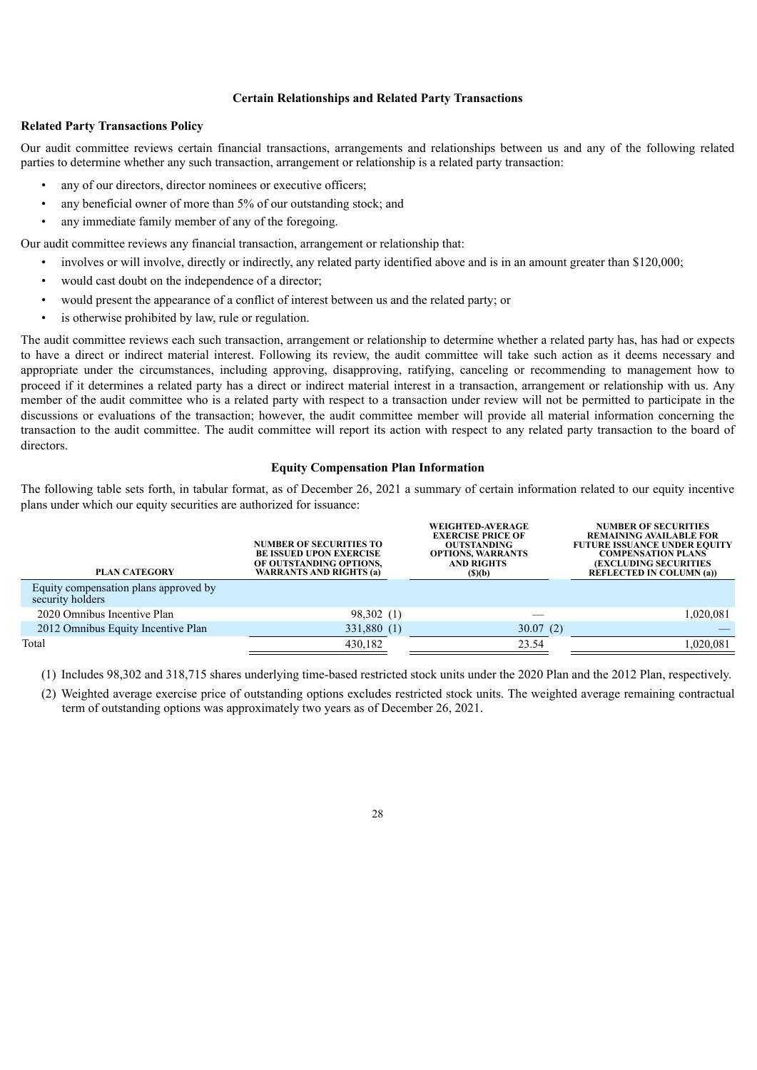#### **Certain Relationships and Related Party Transactions**

#### **Related Party Transactions Policy**

Our audit committee reviews certain financial transactions, arrangements and relationships between us and any of the following related parties to determine whether any such transaction, arrangement or relationship is a related party transaction:

- any of our directors, director nominees or executive officers;
- any beneficial owner of more than 5% of our outstanding stock; and
- any immediate family member of any of the foregoing.

Our audit committee reviews any financial transaction, arrangement or relationship that:

- involves or will involve, directly or indirectly, any related party identified above and is in an amount greater than \$120,000;
- would cast doubt on the independence of a director;
- would present the appearance of a conflict of interest between us and the related party; or
- is otherwise prohibited by law, rule or regulation.

The audit committee reviews each such transaction, arrangement or relationship to determine whether a related party has, has had or expects to have a direct or indirect material interest. Following its review, the audit committee will take such action as it deems necessary and appropriate under the circumstances, including approving, disapproving, ratifying, canceling or recommending to management how to proceed if it determines a related party has a direct or indirect material interest in a transaction, arrangement or relationship with us. Any member of the audit committee who is a related party with respect to a transaction under review will not be permitted to participate in the discussions or evaluations of the transaction; however, the audit committee member will provide all material information concerning the transaction to the audit committee. The audit committee will report its action with respect to any related party transaction to the board of directors.

## **Equity Compensation Plan Information**

<span id="page-31-0"></span>The following table sets forth, in tabular format, as of December 26, 2021 a summary of certain information related to our equity incentive plans under which our equity securities are authorized for issuance:

| <b>PLAN CATEGORY</b>                                      | <b>NUMBER OF SECURITIES TO</b><br><b>BE ISSUED UPON EXERCISE</b><br>OF OUTSTANDING OPTIONS.<br>WARRANTS AND RIGHTS (a) | <b>WEIGHTED-AVERAGE</b><br><b>EXERCISE PRICE OF</b><br><b>OUTSTANDING</b><br><b>OPTIONS, WARRANTS</b><br><b>AND RIGHTS</b><br>(S)(b) | <b>NUMBER OF SECURITIES</b><br><b>REMAINING AVAILABLE FOR</b><br><b>FUTURE ISSUANCE UNDER EQUITY</b><br><b>COMPENSATION PLANS</b><br><b>(EXCLUDING SECURITIES)</b><br><b>REFLECTED IN COLUMN (a))</b> |
|-----------------------------------------------------------|------------------------------------------------------------------------------------------------------------------------|--------------------------------------------------------------------------------------------------------------------------------------|-------------------------------------------------------------------------------------------------------------------------------------------------------------------------------------------------------|
| Equity compensation plans approved by<br>security holders |                                                                                                                        |                                                                                                                                      |                                                                                                                                                                                                       |
| 2020 Omnibus Incentive Plan                               | 98,302 (1)                                                                                                             |                                                                                                                                      | 1,020,081                                                                                                                                                                                             |
| 2012 Omnibus Equity Incentive Plan                        | 331,880 (1)                                                                                                            | 30.07(2)                                                                                                                             |                                                                                                                                                                                                       |
| Total                                                     | 430,182                                                                                                                | 23.54                                                                                                                                | 1,020,081                                                                                                                                                                                             |

(1) Includes 98,302 and 318,715 shares underlying time-based restricted stock units under the 2020 Plan and the 2012 Plan, respectively.

<span id="page-31-1"></span>(2) Weighted average exercise price of outstanding options excludes restricted stock units. The weighted average remaining contractual term of outstanding options was approximately two years as of December 26, 2021.

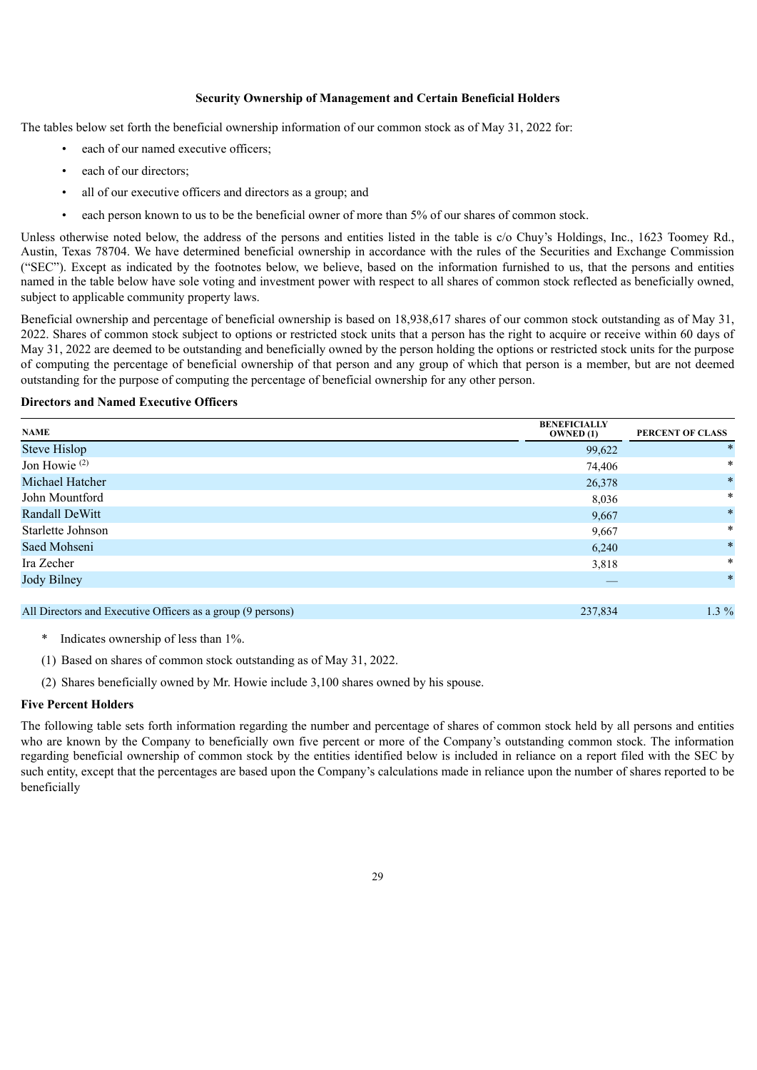#### **Security Ownership of Management and Certain Beneficial Holders**

The tables below set forth the beneficial ownership information of our common stock as of May 31, 2022 for:

- each of our named executive officers;
- each of our directors;
- all of our executive officers and directors as a group; and
- each person known to us to be the beneficial owner of more than 5% of our shares of common stock.

Unless otherwise noted below, the address of the persons and entities listed in the table is c/o Chuy's Holdings, Inc., 1623 Toomey Rd., Austin, Texas 78704. We have determined beneficial ownership in accordance with the rules of the Securities and Exchange Commission ("SEC"). Except as indicated by the footnotes below, we believe, based on the information furnished to us, that the persons and entities named in the table below have sole voting and investment power with respect to all shares of common stock reflected as beneficially owned, subject to applicable community property laws.

Beneficial ownership and percentage of beneficial ownership is based on 18,938,617 shares of our common stock outstanding as of May 31, 2022. Shares of common stock subject to options or restricted stock units that a person has the right to acquire or receive within 60 days of May 31, 2022 are deemed to be outstanding and beneficially owned by the person holding the options or restricted stock units for the purpose of computing the percentage of beneficial ownership of that person and any group of which that person is a member, but are not deemed outstanding for the purpose of computing the percentage of beneficial ownership for any other person.

#### **Directors and Named Executive Officers**

| <b>NAME</b>                                                 | <b>BENEFICIALLY</b><br><b>OWNED</b> (1) | PERCENT OF CLASS |
|-------------------------------------------------------------|-----------------------------------------|------------------|
| Steve Hislop                                                | 99,622                                  | $\ast$           |
| Jon Howie <sup>(2)</sup>                                    | 74,406                                  | $\ast$           |
| Michael Hatcher                                             | 26,378                                  | $\ast$           |
| John Mountford                                              | 8,036                                   | $\ast$           |
| <b>Randall DeWitt</b>                                       | 9,667                                   | $\ast$           |
| Starlette Johnson                                           | 9,667                                   | $\ast$           |
| Saed Mohseni                                                | 6,240                                   | $\ast$           |
| Ira Zecher                                                  | 3,818                                   | $\ast$           |
| Jody Bilney                                                 |                                         | $\ast$           |
|                                                             |                                         |                  |
| All Directors and Executive Officers as a group (9 persons) | 237.834                                 | $1.3\%$          |

- \* Indicates ownership of less than 1%.
- (1) Based on shares of common stock outstanding as of May 31, 2022.
- (2) Shares beneficially owned by Mr. Howie include 3,100 shares owned by his spouse.

## **Five Percent Holders**

The following table sets forth information regarding the number and percentage of shares of common stock held by all persons and entities who are known by the Company to beneficially own five percent or more of the Company's outstanding common stock. The information regarding beneficial ownership of common stock by the entities identified below is included in reliance on a report filed with the SEC by such entity, except that the percentages are based upon the Company's calculations made in reliance upon the number of shares reported to be beneficially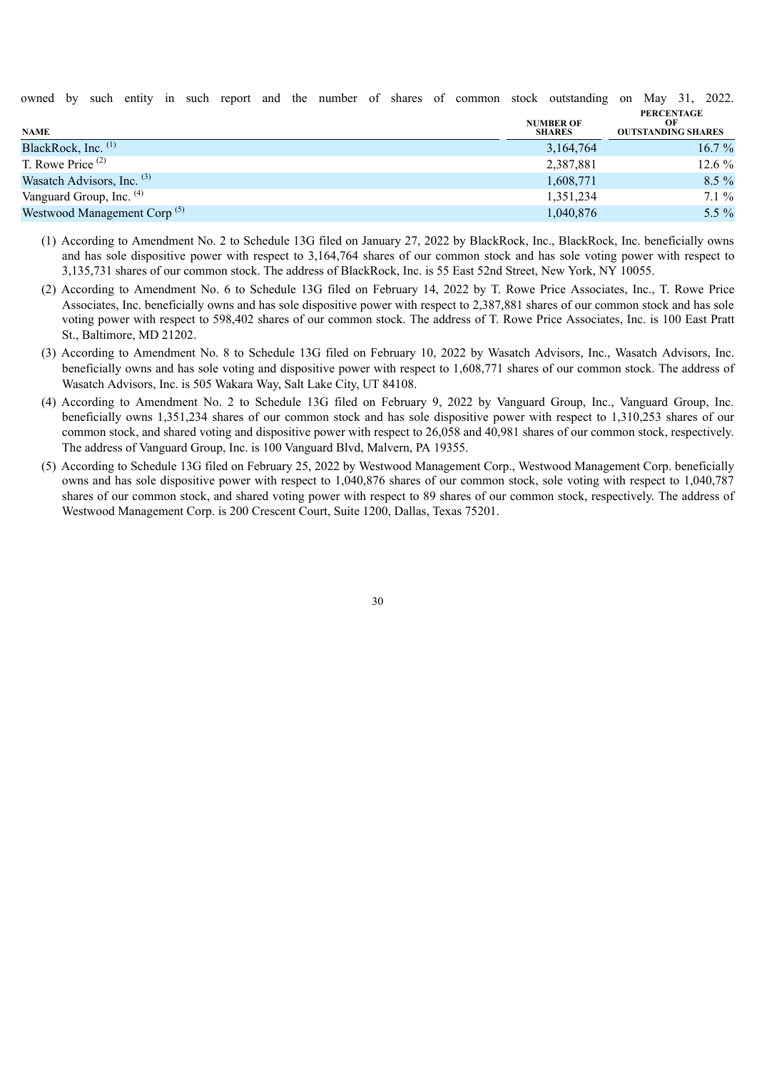owned by such entity in such report and the number of shares of common stock outstanding on May 31, 2022.

| <b>NAME</b>                             | <b>NUMBER OF</b><br><b>SHARES</b> | <b>PERCENTAGE</b><br>ОF<br><b>OUTSTANDING SHARES</b> |
|-----------------------------------------|-----------------------------------|------------------------------------------------------|
| BlackRock, Inc. (1)                     | 3,164,764                         | $16.7\%$                                             |
| T. Rowe Price $(2)$                     | 2,387,881                         | $12.6\%$                                             |
| Wasatch Advisors, Inc. (3)              | 1,608,771                         | $8.5\%$                                              |
| Vanguard Group, Inc. <sup>(4)</sup>     | 1,351,234                         | $7.1\%$                                              |
| Westwood Management Corp <sup>(5)</sup> | 1,040,876                         | 5.5 $%$                                              |

- (1) According to Amendment No. 2 to Schedule 13G filed on January 27, 2022 by BlackRock, Inc., BlackRock, Inc. beneficially owns and has sole dispositive power with respect to 3,164,764 shares of our common stock and has sole voting power with respect to 3,135,731 shares of our common stock. The address of BlackRock, Inc. is 55 East 52nd Street, New York, NY 10055.
- (2) According to Amendment No. 6 to Schedule 13G filed on February 14, 2022 by T. Rowe Price Associates, Inc., T. Rowe Price Associates, Inc. beneficially owns and has sole dispositive power with respect to 2,387,881 shares of our common stock and has sole voting power with respect to 598,402 shares of our common stock. The address of T. Rowe Price Associates, Inc. is 100 East Pratt St., Baltimore, MD 21202.
- (3) According to Amendment No. 8 to Schedule 13G filed on February 10, 2022 by Wasatch Advisors, Inc., Wasatch Advisors, Inc. beneficially owns and has sole voting and dispositive power with respect to 1,608,771 shares of our common stock. The address of Wasatch Advisors, Inc. is 505 Wakara Way, Salt Lake City, UT 84108.
- (4) According to Amendment No. 2 to Schedule 13G filed on February 9, 2022 by Vanguard Group, Inc., Vanguard Group, Inc. beneficially owns 1,351,234 shares of our common stock and has sole dispositive power with respect to 1,310,253 shares of our common stock, and shared voting and dispositive power with respect to 26,058 and 40,981 shares of our common stock, respectively. The address of Vanguard Group, Inc. is 100 Vanguard Blvd, Malvern, PA 19355.
- <span id="page-33-0"></span>(5) According to Schedule 13G filed on February 25, 2022 by Westwood Management Corp., Westwood Management Corp. beneficially owns and has sole dispositive power with respect to 1,040,876 shares of our common stock, sole voting with respect to 1,040,787 shares of our common stock, and shared voting power with respect to 89 shares of our common stock, respectively. The address of Westwood Management Corp. is 200 Crescent Court, Suite 1200, Dallas, Texas 75201.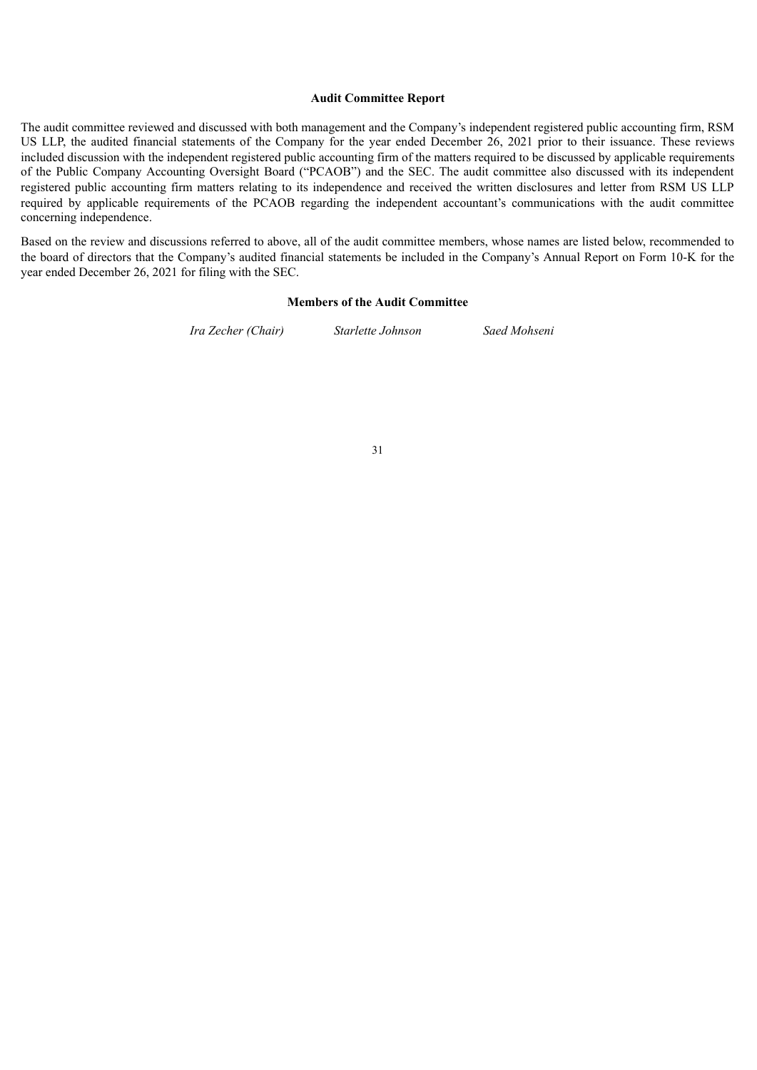#### **Audit Committee Report**

The audit committee reviewed and discussed with both management and the Company's independent registered public accounting firm, RSM US LLP, the audited financial statements of the Company for the year ended December 26, 2021 prior to their issuance. These reviews included discussion with the independent registered public accounting firm of the matters required to be discussed by applicable requirements of the Public Company Accounting Oversight Board ("PCAOB") and the SEC. The audit committee also discussed with its independent registered public accounting firm matters relating to its independence and received the written disclosures and letter from RSM US LLP required by applicable requirements of the PCAOB regarding the independent accountant's communications with the audit committee concerning independence.

Based on the review and discussions referred to above, all of the audit committee members, whose names are listed below, recommended to the board of directors that the Company's audited financial statements be included in the Company's Annual Report on Form 10-K for the year ended December 26, 2021 for filing with the SEC.

#### **Members of the Audit Committee**

<span id="page-34-0"></span>*Ira Zecher (Chair) Starlette Johnson Saed Mohseni*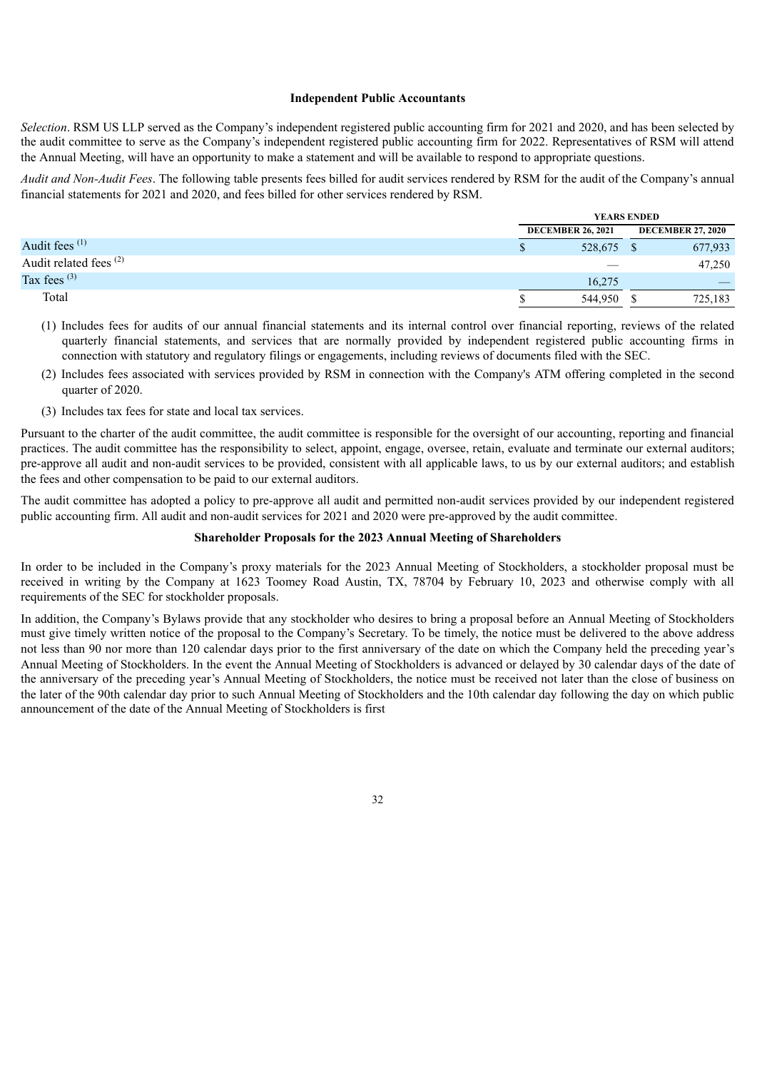#### **Independent Public Accountants**

*Selection*. RSM US LLP served as the Company's independent registered public accounting firm for 2021 and 2020, and has been selected by the audit committee to serve as the Company's independent registered public accounting firm for 2022. Representatives of RSM will attend the Annual Meeting, will have an opportunity to make a statement and will be available to respond to appropriate questions.

*Audit and Non-Audit Fees*. The following table presents fees billed for audit services rendered by RSM for the audit of the Company's annual financial statements for 2021 and 2020, and fees billed for other services rendered by RSM.

|                                   | <b>YEARS ENDED</b>       |                          |
|-----------------------------------|--------------------------|--------------------------|
|                                   | <b>DECEMBER 26, 2021</b> | <b>DECEMBER 27, 2020</b> |
| Audit fees $(1)$                  | \$<br>528,675            | 677,933                  |
| Audit related fees <sup>(2)</sup> |                          | 47,250                   |
| Tax fees $(3)$                    | 16.275                   | _                        |
| Total                             | 544,950                  | 725,183                  |

- (1) Includes fees for audits of our annual financial statements and its internal control over financial reporting, reviews of the related quarterly financial statements, and services that are normally provided by independent registered public accounting firms in connection with statutory and regulatory filings or engagements, including reviews of documents filed with the SEC.
- (2) Includes fees associated with services provided by RSM in connection with the Company's ATM offering completed in the second quarter of 2020.
- (3) Includes tax fees for state and local tax services.

Pursuant to the charter of the audit committee, the audit committee is responsible for the oversight of our accounting, reporting and financial practices. The audit committee has the responsibility to select, appoint, engage, oversee, retain, evaluate and terminate our external auditors; pre-approve all audit and non-audit services to be provided, consistent with all applicable laws, to us by our external auditors; and establish the fees and other compensation to be paid to our external auditors.

The audit committee has adopted a policy to pre-approve all audit and permitted non-audit services provided by our independent registered public accounting firm. All audit and non-audit services for 2021 and 2020 were pre-approved by the audit committee.

## **Shareholder Proposals for the 2023 Annual Meeting of Shareholders**

<span id="page-35-0"></span>In order to be included in the Company's proxy materials for the 2023 Annual Meeting of Stockholders, a stockholder proposal must be received in writing by the Company at 1623 Toomey Road Austin, TX, 78704 by February 10, 2023 and otherwise comply with all requirements of the SEC for stockholder proposals.

In addition, the Company's Bylaws provide that any stockholder who desires to bring a proposal before an Annual Meeting of Stockholders must give timely written notice of the proposal to the Company's Secretary. To be timely, the notice must be delivered to the above address not less than 90 nor more than 120 calendar days prior to the first anniversary of the date on which the Company held the preceding year's Annual Meeting of Stockholders. In the event the Annual Meeting of Stockholders is advanced or delayed by 30 calendar days of the date of the anniversary of the preceding year's Annual Meeting of Stockholders, the notice must be received not later than the close of business on the later of the 90th calendar day prior to such Annual Meeting of Stockholders and the 10th calendar day following the day on which public announcement of the date of the Annual Meeting of Stockholders is first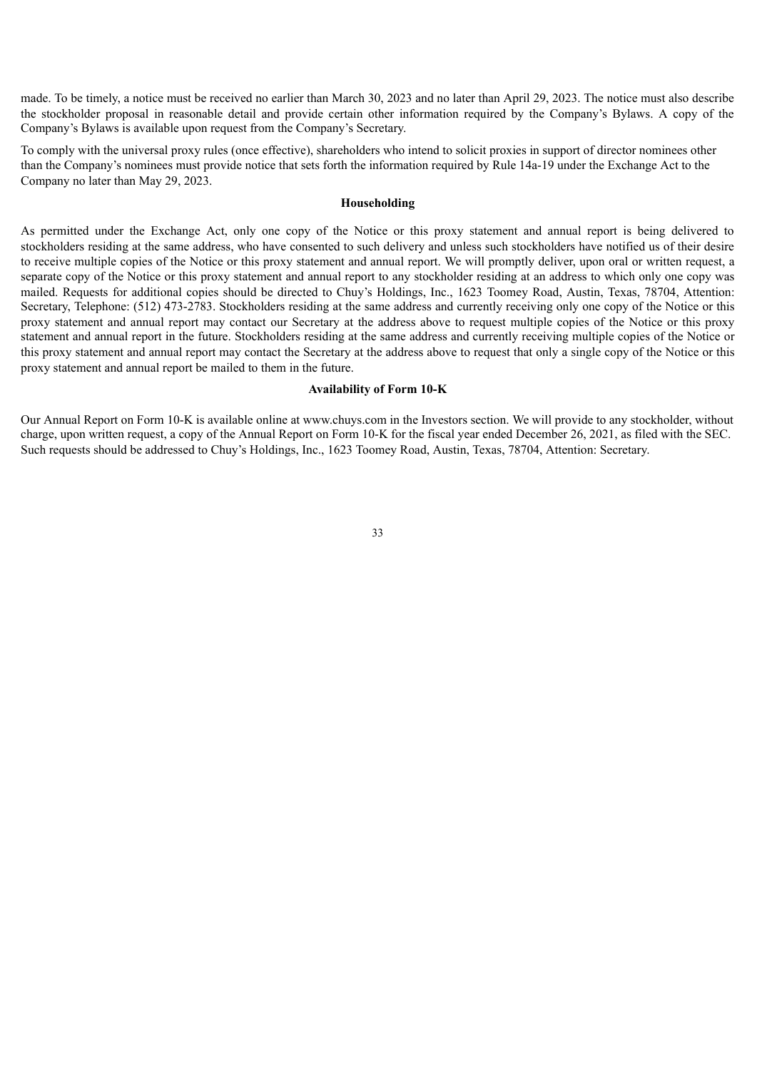made. To be timely, a notice must be received no earlier than March 30, 2023 and no later than April 29, 2023. The notice must also describe the stockholder proposal in reasonable detail and provide certain other information required by the Company's Bylaws. A copy of the Company's Bylaws is available upon request from the Company's Secretary.

To comply with the universal proxy rules (once effective), shareholders who intend to solicit proxies in support of director nominees other than the Company's nominees must provide notice that sets forth the information required by Rule 14a-19 under the Exchange Act to the Company no later than May 29, 2023.

#### **Householding**

<span id="page-36-0"></span>As permitted under the Exchange Act, only one copy of the Notice or this proxy statement and annual report is being delivered to stockholders residing at the same address, who have consented to such delivery and unless such stockholders have notified us of their desire to receive multiple copies of the Notice or this proxy statement and annual report. We will promptly deliver, upon oral or written request, a separate copy of the Notice or this proxy statement and annual report to any stockholder residing at an address to which only one copy was mailed. Requests for additional copies should be directed to Chuy's Holdings, Inc., 1623 Toomey Road, Austin, Texas, 78704, Attention: Secretary, Telephone: (512) 473-2783. Stockholders residing at the same address and currently receiving only one copy of the Notice or this proxy statement and annual report may contact our Secretary at the address above to request multiple copies of the Notice or this proxy statement and annual report in the future. Stockholders residing at the same address and currently receiving multiple copies of the Notice or this proxy statement and annual report may contact the Secretary at the address above to request that only a single copy of the Notice or this proxy statement and annual report be mailed to them in the future.

#### **Availability of Form 10-K**

<span id="page-36-2"></span><span id="page-36-1"></span>Our Annual Report on Form 10-K is available online at www.chuys.com in the Investors section. We will provide to any stockholder, without charge, upon written request, a copy of the Annual Report on Form 10-K for the fiscal year ended December 26, 2021, as filed with the SEC. Such requests should be addressed to Chuy's Holdings, Inc., 1623 Toomey Road, Austin, Texas, 78704, Attention: Secretary.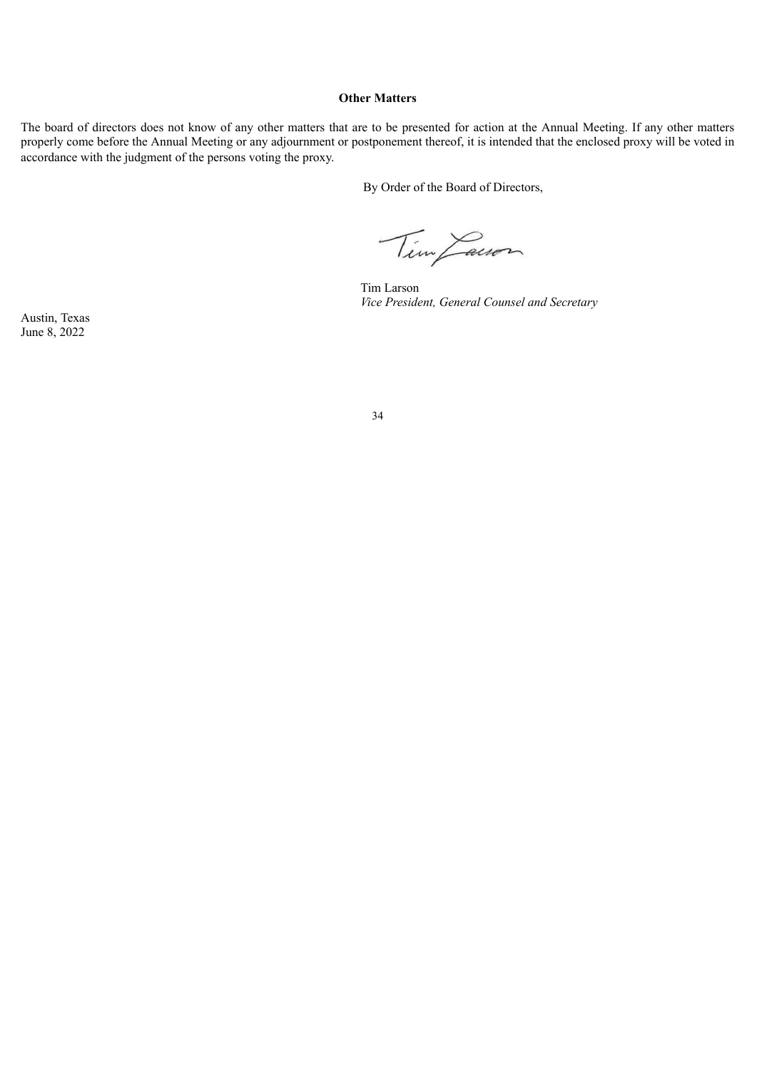#### **Other Matters**

The board of directors does not know of any other matters that are to be presented for action at the Annual Meeting. If any other matters properly come before the Annual Meeting or any adjournment or postponement thereof, it is intended that the enclosed proxy will be voted in accordance with the judgment of the persons voting the proxy.

By Order of the Board of Directors,

Tim Jacon

Tim Larson *Vice President, General Counsel and Secretary*

Austin, Texas June 8, 2022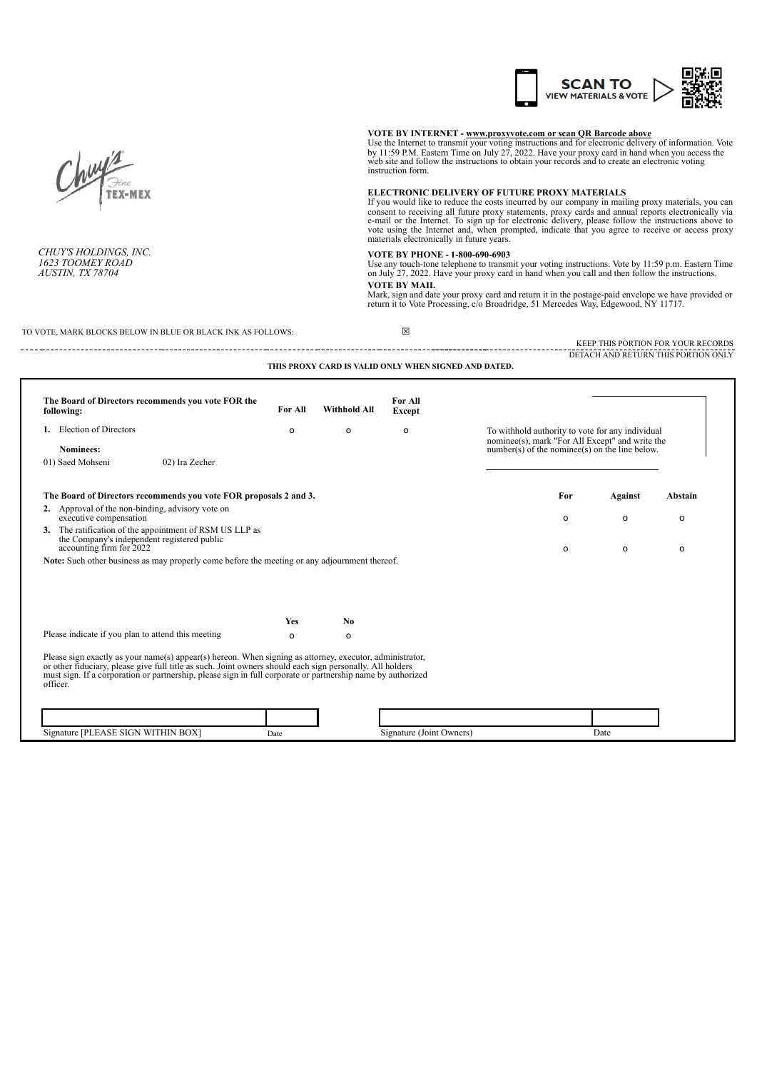

**VOTE BY INTERNET - www.proxyvote.com or scan QR Barcode above**<br>Use the Internet to transmit your voting instructions and for electronic delivery of information. Vote<br>by 11:59 P.M. Eastern Time on July 27, 2022. Have your instruction form.

#### **ELECTRONIC DELIVERY OF FUTURE PROXY MATERIALS**

If you would like to reduce the costs incurred by our company in mailing proxy materials, you can<br>consent to receiving all future proxy statements, proxy cards and annual reports electronically via<br>e-mail or the Internet.

#### **VOTE BY PHONE - 1-800-690-6903**

Use any touch-tone telephone to transmit your voting instructions. Vote by 11:59 p.m. Eastern Time on July 27, 2022. Have your proxy card in hand when you call and then follow the instructions. **VOTE BY MAIL**

Mark, sign and date your proxy card and return it in the postage-paid envelope we have provided or return it to Vote Processing, c/o Broadridge, 51 Mercedes Way, Edgewood, NY 11717.

#### TO VOTE, MARK BLOCKS BELOW IN BLUE OR BLACK INK AS FOLLOWS:  $\boxtimes$

**THIS PROXY CARD IS VALID ONLY WHEN SIGNED AND DATED.**

KEEP THIS PORTION FOR YOUR RECORDS

#### DETACH AND RETURN THIS PORTION ONLY

**The Board of Directors recommends you vote FOR the** *f***or All <b>Withhold** All **For All Except 1.** Election of Directors **o** o o o o o To withhold authority to vote for any individual **Nominees:**<br>**Nominees:** number(s) of the nominee(s) on the line below.<br>**Nominees:** number(s) of the nominee(s) on the line below. 01) Saed Mohseni 02) Ira Zecher **The Board of Directors recommends you vote FOR proposals 2 and 3. For Against Abstain 2.** Approval of the non-binding, advisory vote on executive compensation o o o **3.** The ratification of the appointment of RSM US LLP as the Company's independent registered public accounting firm for 2022 of the counting firm for 2022 of the counting firm for 2022 of the counting firm for 2022 **Note:** Such other business as may properly come before the meeting or any adjournment thereof. **Yes No** Please indicate if you plan to attend this meeting o o Please sign exactly as your name(s) appear(s) hereon. When signing as attorney, executor, administrator, or other fiduciary, please give full title as such. Joint owners should each sign personally. All holders must sign. If a corporation or partnership, please sign in full corporate or partnership name by authorized officer.

| $-$<br><b>BOX</b><br>m<br><b>SIGN</b><br>HIN<br>Signature<br>ASE<br>. | Date | --<br>Owners)<br>signature<br>$(John+)$ | Date |
|-----------------------------------------------------------------------|------|-----------------------------------------|------|



*CHUY'S HOLDINGS, INC. 1623 TOOMEY ROAD*

*AUSTIN, TX 78704*